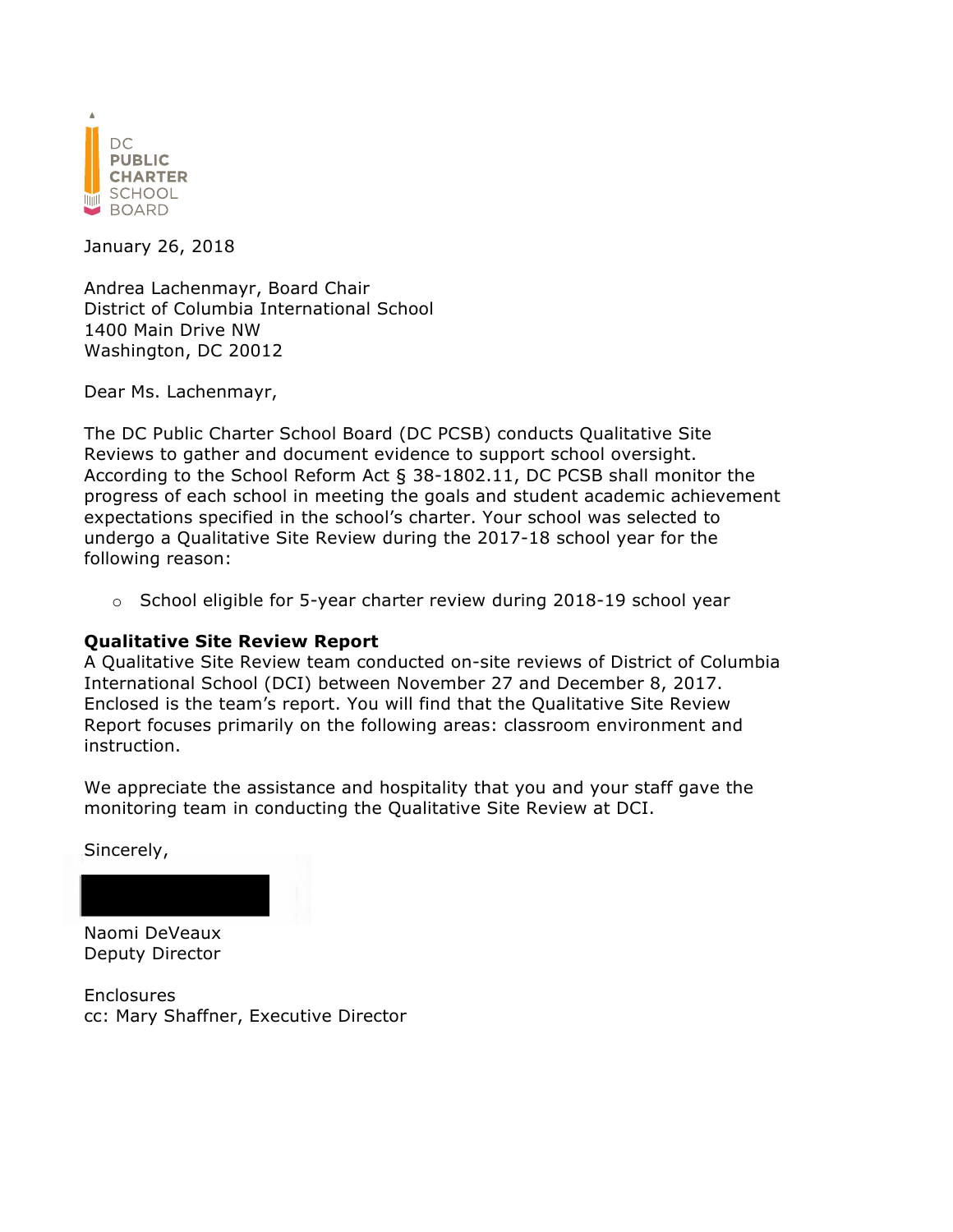

January 26, 2018

Andrea Lachenmayr, Board Chair District of Columbia International School 1400 Main Drive NW Washington, DC 20012

Dear Ms. Lachenmayr,

The DC Public Charter School Board (DC PCSB) conducts Qualitative Site Reviews to gather and document evidence to support school oversight. According to the School Reform Act § 38-1802.11, DC PCSB shall monitor the progress of each school in meeting the goals and student academic achievement expectations specified in the school's charter. Your school was selected to undergo a Qualitative Site Review during the 2017-18 school year for the following reason:

 $\circ$  School eligible for 5-year charter review during 2018-19 school year

#### **Qualitative Site Review Report**

A Qualitative Site Review team conducted on-site reviews of District of Columbia International School (DCI) between November 27 and December 8, 2017. Enclosed is the team's report. You will find that the Qualitative Site Review Report focuses primarily on the following areas: classroom environment and instruction.

We appreciate the assistance and hospitality that you and your staff gave the monitoring team in conducting the Qualitative Site Review at DCI.

Sincerely,



Deputy Director

Enclosures cc: Mary Shaffner, Executive Director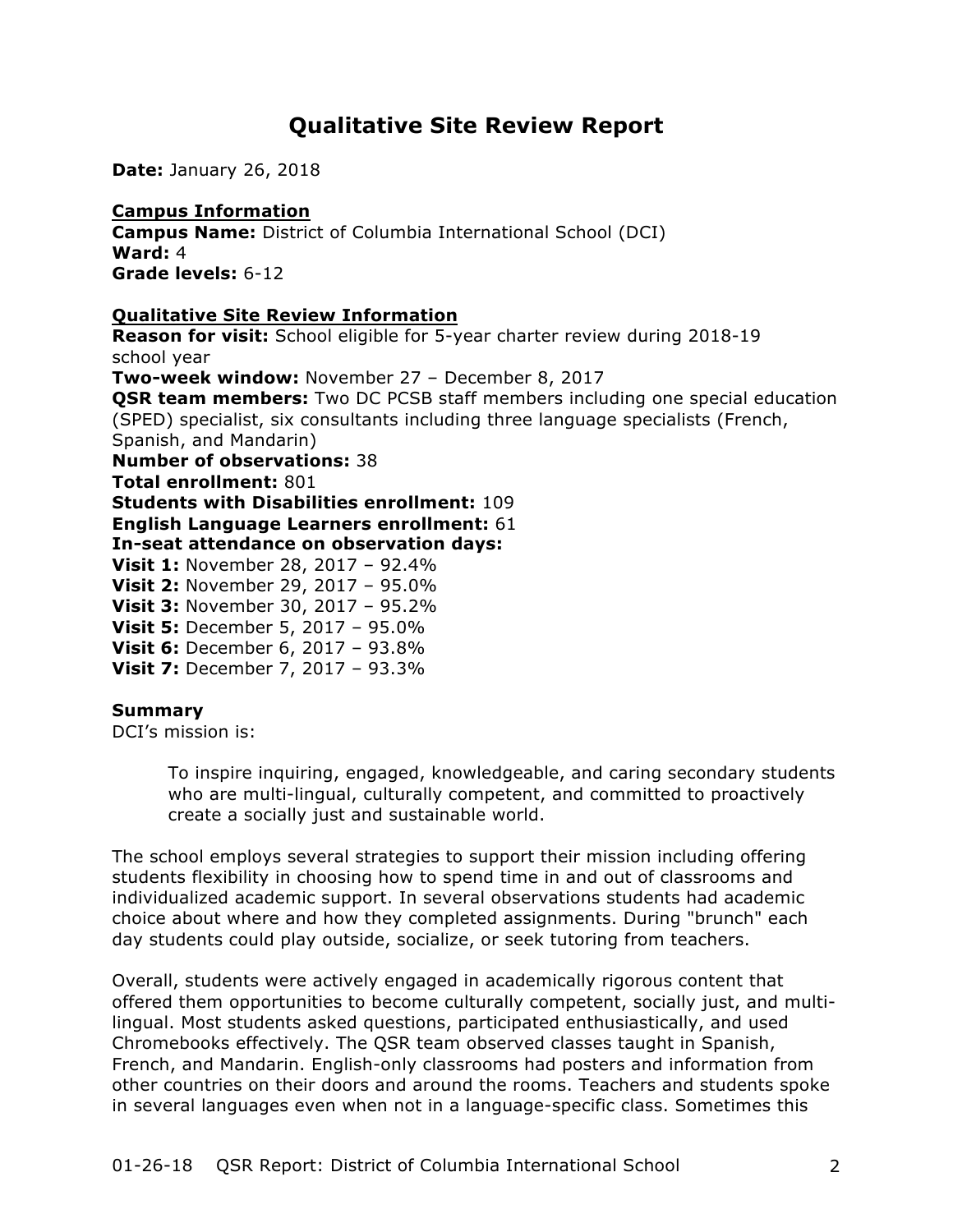# **Qualitative Site Review Report**

**Date:** January 26, 2018

**Campus Information Campus Name:** District of Columbia International School (DCI) **Ward:** 4 **Grade levels:** 6-12

### **Qualitative Site Review Information**

**Reason for visit:** School eligible for 5-year charter review during 2018-19 school year **Two-week window:** November 27 – December 8, 2017 **QSR team members:** Two DC PCSB staff members including one special education (SPED) specialist, six consultants including three language specialists (French, Spanish, and Mandarin) **Number of observations:** 38 **Total enrollment:** 801 **Students with Disabilities enrollment:** 109 **English Language Learners enrollment:** 61 **In-seat attendance on observation days: Visit 1:** November 28, 2017 – 92.4% **Visit 2:** November 29, 2017 – 95.0% **Visit 3:** November 30, 2017 – 95.2% **Visit 5:** December 5, 2017 – 95.0% **Visit 6:** December 6, 2017 – 93.8% **Visit 7:** December 7, 2017 – 93.3%

## **Summary**

DCI's mission is:

To inspire inquiring, engaged, knowledgeable, and caring secondary students who are multi-lingual, culturally competent, and committed to proactively create a socially just and sustainable world.

The school employs several strategies to support their mission including offering students flexibility in choosing how to spend time in and out of classrooms and individualized academic support. In several observations students had academic choice about where and how they completed assignments. During "brunch" each day students could play outside, socialize, or seek tutoring from teachers.

Overall, students were actively engaged in academically rigorous content that offered them opportunities to become culturally competent, socially just, and multilingual. Most students asked questions, participated enthusiastically, and used Chromebooks effectively. The QSR team observed classes taught in Spanish, French, and Mandarin. English-only classrooms had posters and information from other countries on their doors and around the rooms. Teachers and students spoke in several languages even when not in a language-specific class. Sometimes this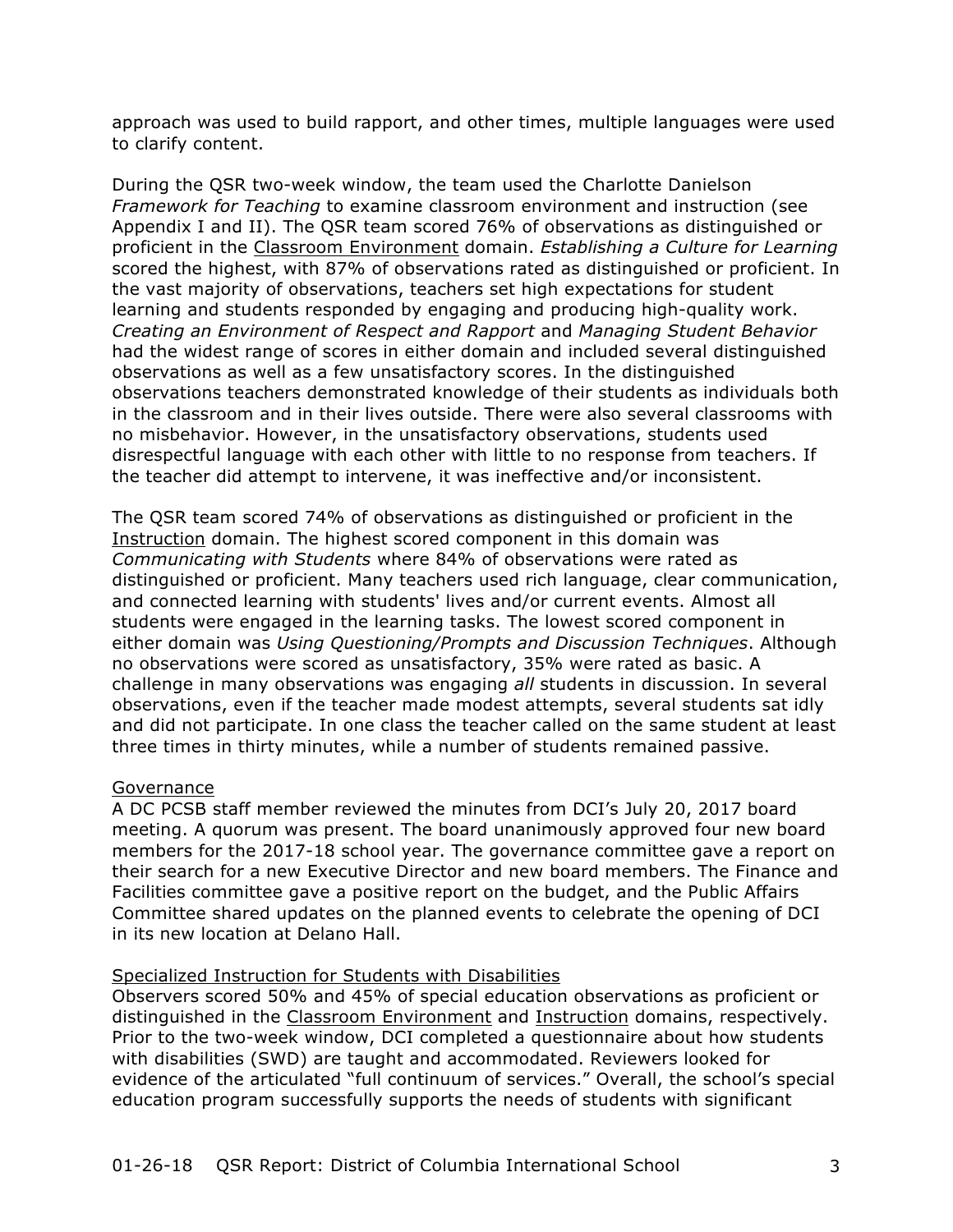approach was used to build rapport, and other times, multiple languages were used to clarify content.

During the QSR two-week window, the team used the Charlotte Danielson *Framework for Teaching* to examine classroom environment and instruction (see Appendix I and II). The QSR team scored 76% of observations as distinguished or proficient in the Classroom Environment domain. *Establishing a Culture for Learning* scored the highest, with 87% of observations rated as distinguished or proficient. In the vast majority of observations, teachers set high expectations for student learning and students responded by engaging and producing high-quality work. *Creating an Environment of Respect and Rapport* and *Managing Student Behavior* had the widest range of scores in either domain and included several distinguished observations as well as a few unsatisfactory scores. In the distinguished observations teachers demonstrated knowledge of their students as individuals both in the classroom and in their lives outside. There were also several classrooms with no misbehavior. However, in the unsatisfactory observations, students used disrespectful language with each other with little to no response from teachers. If the teacher did attempt to intervene, it was ineffective and/or inconsistent.

The QSR team scored 74% of observations as distinguished or proficient in the Instruction domain. The highest scored component in this domain was *Communicating with Students* where 84% of observations were rated as distinguished or proficient. Many teachers used rich language, clear communication, and connected learning with students' lives and/or current events. Almost all students were engaged in the learning tasks. The lowest scored component in either domain was *Using Questioning/Prompts and Discussion Techniques*. Although no observations were scored as unsatisfactory, 35% were rated as basic. A challenge in many observations was engaging *all* students in discussion. In several observations, even if the teacher made modest attempts, several students sat idly and did not participate. In one class the teacher called on the same student at least three times in thirty minutes, while a number of students remained passive.

#### Governance

A DC PCSB staff member reviewed the minutes from DCI's July 20, 2017 board meeting. A quorum was present. The board unanimously approved four new board members for the 2017-18 school year. The governance committee gave a report on their search for a new Executive Director and new board members. The Finance and Facilities committee gave a positive report on the budget, and the Public Affairs Committee shared updates on the planned events to celebrate the opening of DCI in its new location at Delano Hall.

## Specialized Instruction for Students with Disabilities

Observers scored 50% and 45% of special education observations as proficient or distinguished in the Classroom Environment and Instruction domains, respectively. Prior to the two-week window, DCI completed a questionnaire about how students with disabilities (SWD) are taught and accommodated. Reviewers looked for evidence of the articulated "full continuum of services." Overall, the school's special education program successfully supports the needs of students with significant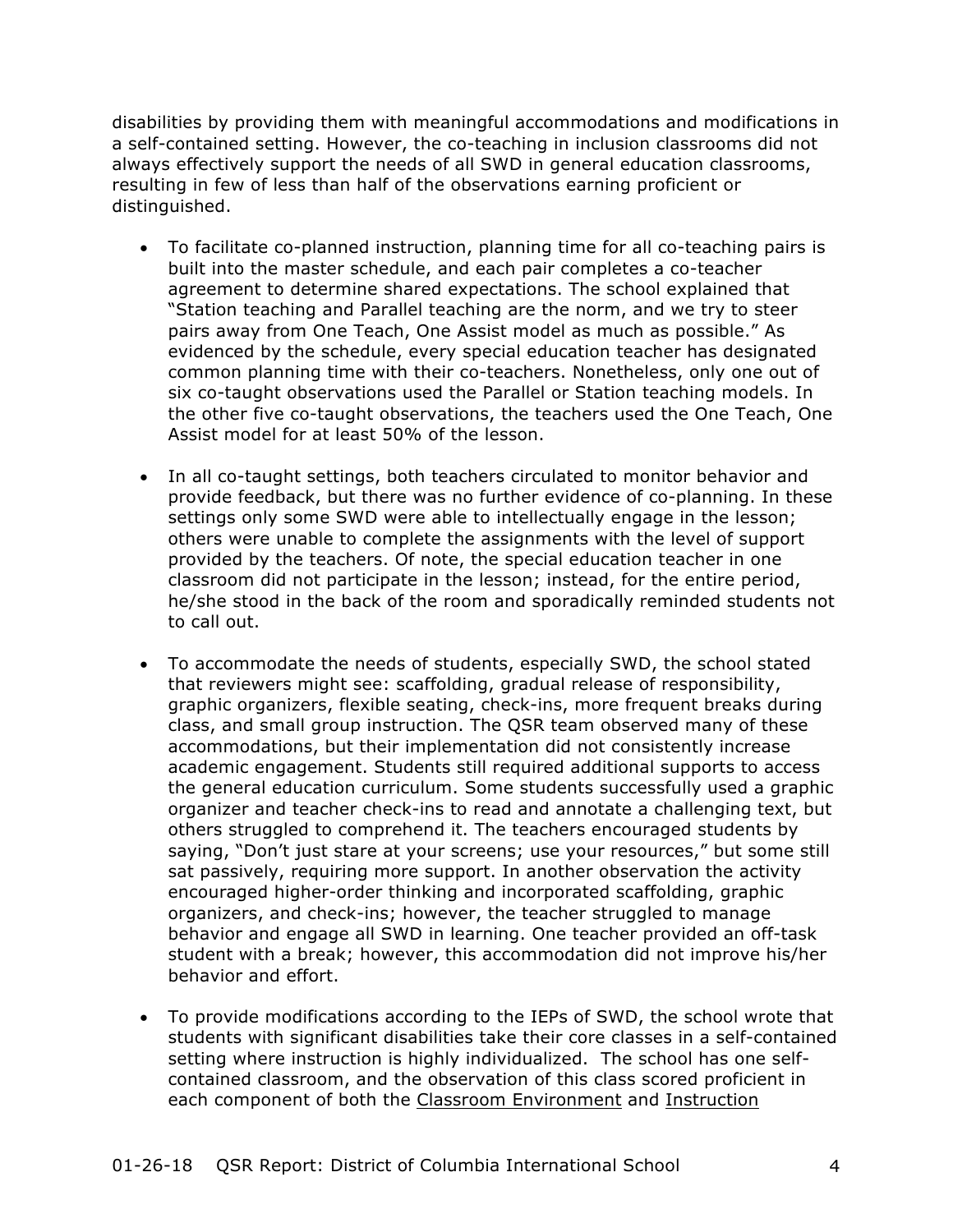disabilities by providing them with meaningful accommodations and modifications in a self-contained setting. However, the co-teaching in inclusion classrooms did not always effectively support the needs of all SWD in general education classrooms, resulting in few of less than half of the observations earning proficient or distinguished.

- To facilitate co-planned instruction, planning time for all co-teaching pairs is built into the master schedule, and each pair completes a co-teacher agreement to determine shared expectations. The school explained that "Station teaching and Parallel teaching are the norm, and we try to steer pairs away from One Teach, One Assist model as much as possible." As evidenced by the schedule, every special education teacher has designated common planning time with their co-teachers. Nonetheless, only one out of six co-taught observations used the Parallel or Station teaching models. In the other five co-taught observations, the teachers used the One Teach, One Assist model for at least 50% of the lesson.
- In all co-taught settings, both teachers circulated to monitor behavior and provide feedback, but there was no further evidence of co-planning. In these settings only some SWD were able to intellectually engage in the lesson; others were unable to complete the assignments with the level of support provided by the teachers. Of note, the special education teacher in one classroom did not participate in the lesson; instead, for the entire period, he/she stood in the back of the room and sporadically reminded students not to call out.
- To accommodate the needs of students, especially SWD, the school stated that reviewers might see: scaffolding, gradual release of responsibility, graphic organizers, flexible seating, check-ins, more frequent breaks during class, and small group instruction. The QSR team observed many of these accommodations, but their implementation did not consistently increase academic engagement. Students still required additional supports to access the general education curriculum. Some students successfully used a graphic organizer and teacher check-ins to read and annotate a challenging text, but others struggled to comprehend it. The teachers encouraged students by saying, "Don't just stare at your screens; use your resources," but some still sat passively, requiring more support. In another observation the activity encouraged higher-order thinking and incorporated scaffolding, graphic organizers, and check-ins; however, the teacher struggled to manage behavior and engage all SWD in learning. One teacher provided an off-task student with a break; however, this accommodation did not improve his/her behavior and effort.
- To provide modifications according to the IEPs of SWD, the school wrote that students with significant disabilities take their core classes in a self-contained setting where instruction is highly individualized. The school has one selfcontained classroom, and the observation of this class scored proficient in each component of both the Classroom Environment and Instruction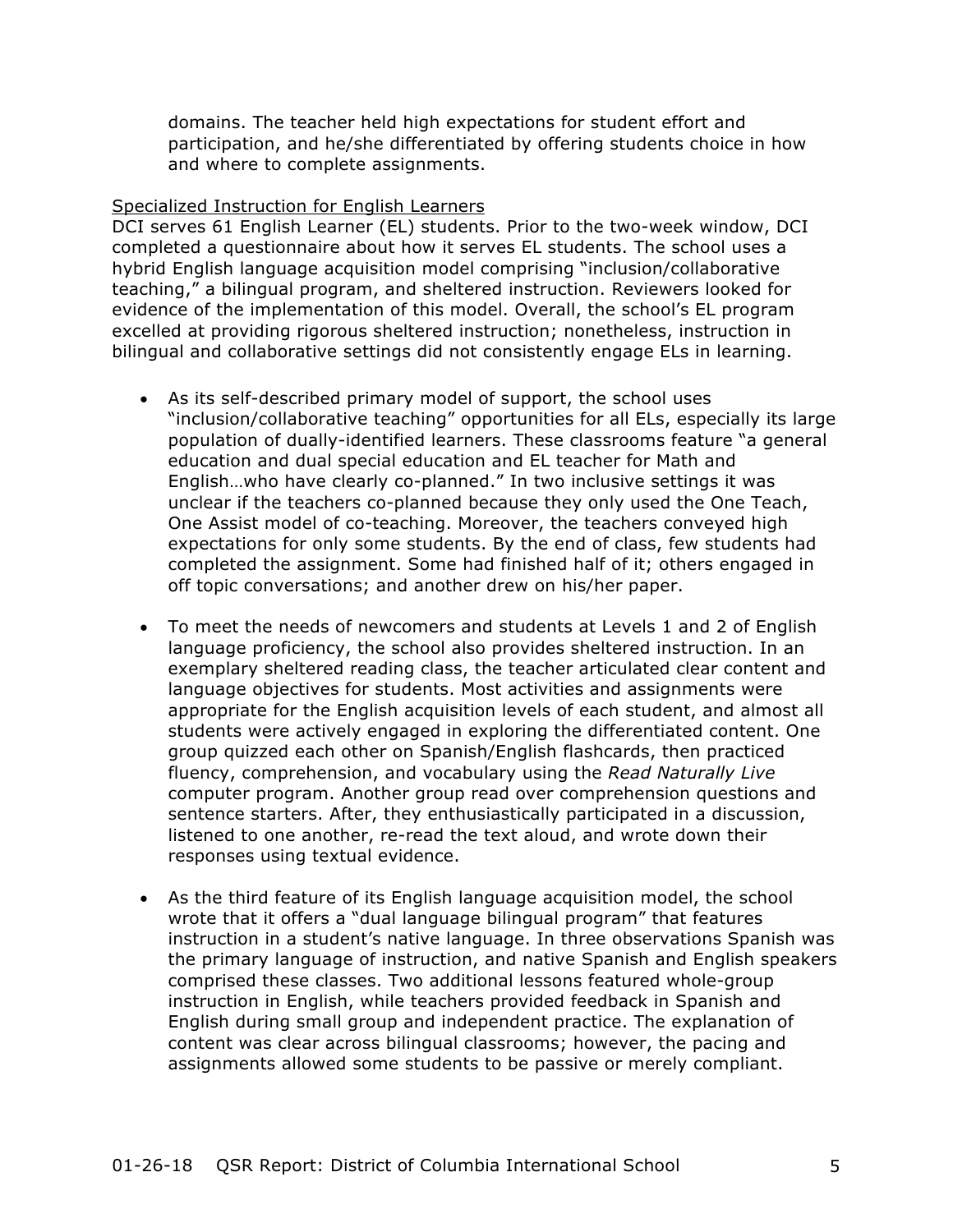domains. The teacher held high expectations for student effort and participation, and he/she differentiated by offering students choice in how and where to complete assignments.

#### Specialized Instruction for English Learners

DCI serves 61 English Learner (EL) students. Prior to the two-week window, DCI completed a questionnaire about how it serves EL students. The school uses a hybrid English language acquisition model comprising "inclusion/collaborative teaching," a bilingual program, and sheltered instruction. Reviewers looked for evidence of the implementation of this model. Overall, the school's EL program excelled at providing rigorous sheltered instruction; nonetheless, instruction in bilingual and collaborative settings did not consistently engage ELs in learning.

- As its self-described primary model of support, the school uses "inclusion/collaborative teaching" opportunities for all ELs, especially its large population of dually-identified learners. These classrooms feature "a general education and dual special education and EL teacher for Math and English…who have clearly co-planned." In two inclusive settings it was unclear if the teachers co-planned because they only used the One Teach, One Assist model of co-teaching. Moreover, the teachers conveyed high expectations for only some students. By the end of class, few students had completed the assignment. Some had finished half of it; others engaged in off topic conversations; and another drew on his/her paper.
- To meet the needs of newcomers and students at Levels 1 and 2 of English language proficiency, the school also provides sheltered instruction. In an exemplary sheltered reading class, the teacher articulated clear content and language objectives for students. Most activities and assignments were appropriate for the English acquisition levels of each student, and almost all students were actively engaged in exploring the differentiated content. One group quizzed each other on Spanish/English flashcards, then practiced fluency, comprehension, and vocabulary using the *Read Naturally Live*  computer program. Another group read over comprehension questions and sentence starters. After, they enthusiastically participated in a discussion, listened to one another, re-read the text aloud, and wrote down their responses using textual evidence.
- As the third feature of its English language acquisition model, the school wrote that it offers a "dual language bilingual program" that features instruction in a student's native language. In three observations Spanish was the primary language of instruction, and native Spanish and English speakers comprised these classes. Two additional lessons featured whole-group instruction in English, while teachers provided feedback in Spanish and English during small group and independent practice. The explanation of content was clear across bilingual classrooms; however, the pacing and assignments allowed some students to be passive or merely compliant.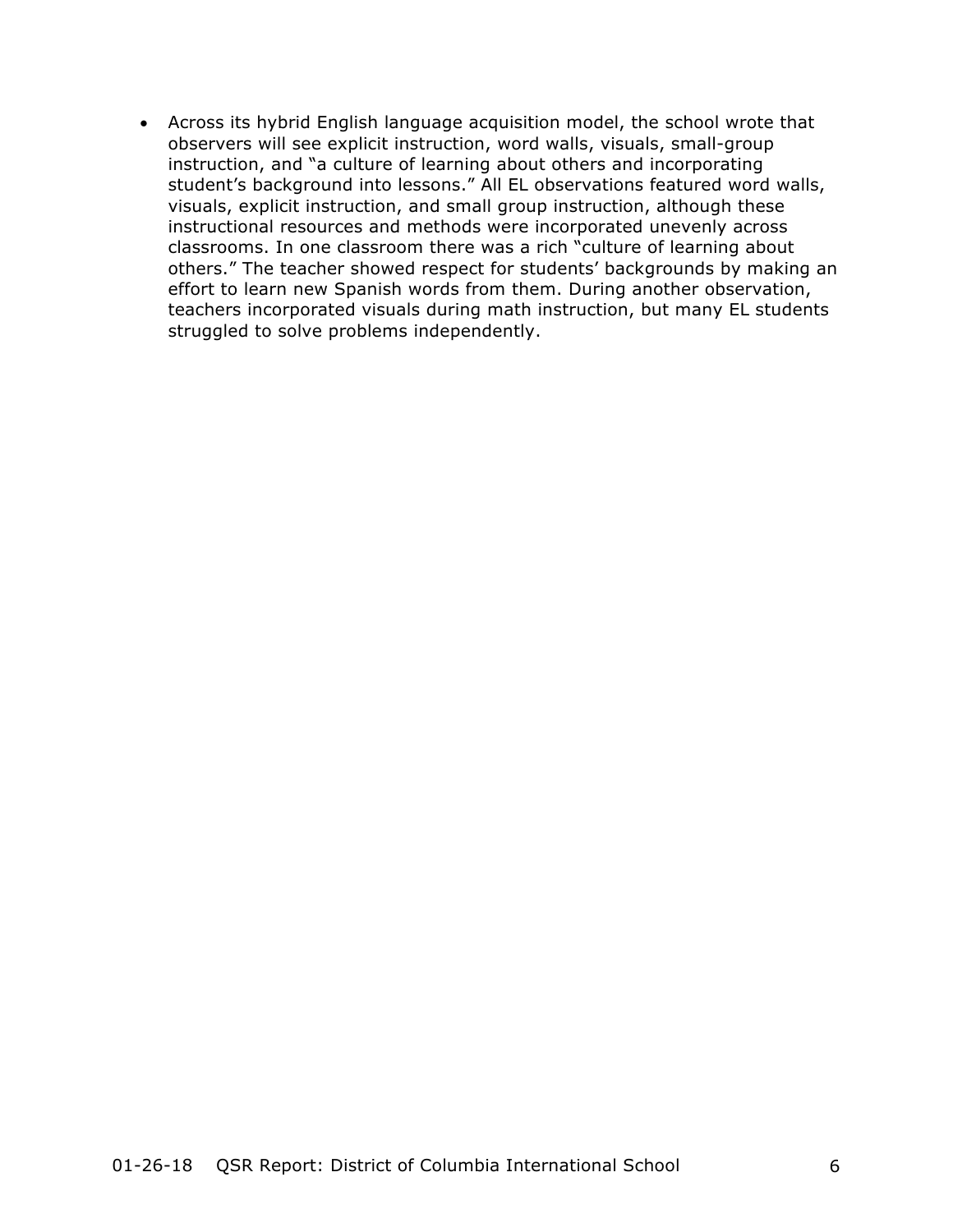• Across its hybrid English language acquisition model, the school wrote that observers will see explicit instruction, word walls, visuals, small-group instruction, and "a culture of learning about others and incorporating student's background into lessons." All EL observations featured word walls, visuals, explicit instruction, and small group instruction, although these instructional resources and methods were incorporated unevenly across classrooms. In one classroom there was a rich "culture of learning about others." The teacher showed respect for students' backgrounds by making an effort to learn new Spanish words from them. During another observation, teachers incorporated visuals during math instruction, but many EL students struggled to solve problems independently.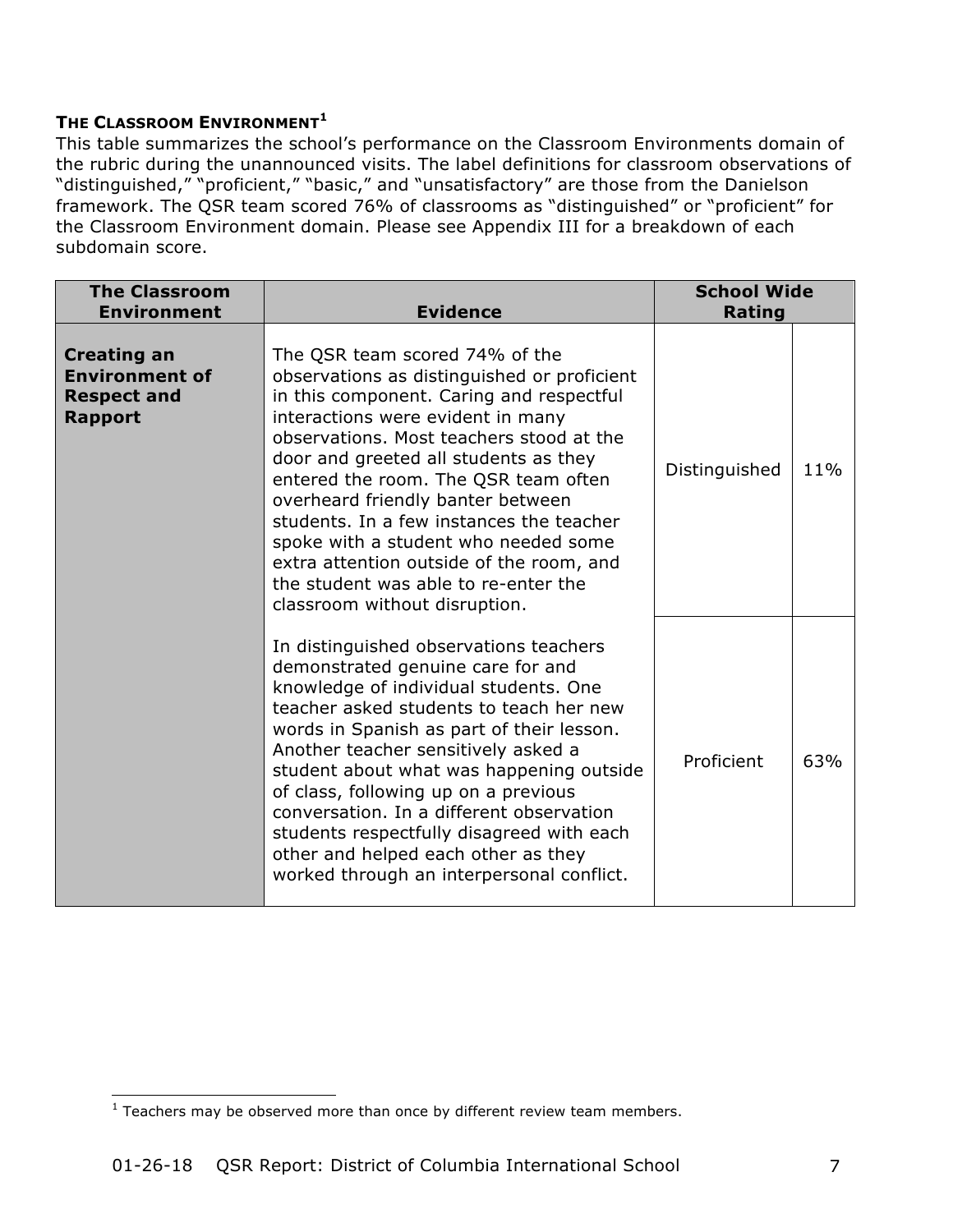### **THE CLASSROOM ENVIRONMENT<sup>1</sup>**

This table summarizes the school's performance on the Classroom Environments domain of the rubric during the unannounced visits. The label definitions for classroom observations of "distinguished," "proficient," "basic," and "unsatisfactory" are those from the Danielson framework. The QSR team scored 76% of classrooms as "distinguished" or "proficient" for the Classroom Environment domain. Please see Appendix III for a breakdown of each subdomain score.

| <b>The Classroom</b><br><b>Environment</b>                                          | <b>Evidence</b>                                                                                                                                                                                                                                                                                                                                                                                                                                                                                                                           | <b>School Wide</b><br><b>Rating</b> |     |
|-------------------------------------------------------------------------------------|-------------------------------------------------------------------------------------------------------------------------------------------------------------------------------------------------------------------------------------------------------------------------------------------------------------------------------------------------------------------------------------------------------------------------------------------------------------------------------------------------------------------------------------------|-------------------------------------|-----|
| <b>Creating an</b><br><b>Environment of</b><br><b>Respect and</b><br><b>Rapport</b> | The QSR team scored 74% of the<br>observations as distinguished or proficient<br>in this component. Caring and respectful<br>interactions were evident in many<br>observations. Most teachers stood at the<br>door and greeted all students as they<br>entered the room. The QSR team often<br>overheard friendly banter between<br>students. In a few instances the teacher<br>spoke with a student who needed some<br>extra attention outside of the room, and<br>the student was able to re-enter the<br>classroom without disruption. | Distinguished                       | 11% |
|                                                                                     | In distinguished observations teachers<br>demonstrated genuine care for and<br>knowledge of individual students. One<br>teacher asked students to teach her new<br>words in Spanish as part of their lesson.<br>Another teacher sensitively asked a<br>student about what was happening outside<br>of class, following up on a previous<br>conversation. In a different observation<br>students respectfully disagreed with each<br>other and helped each other as they<br>worked through an interpersonal conflict.                      | Proficient                          | 63% |

<sup>&</sup>lt;u> 1989 - Johann Stein, marwolaethau a bh</u>  $1$  Teachers may be observed more than once by different review team members.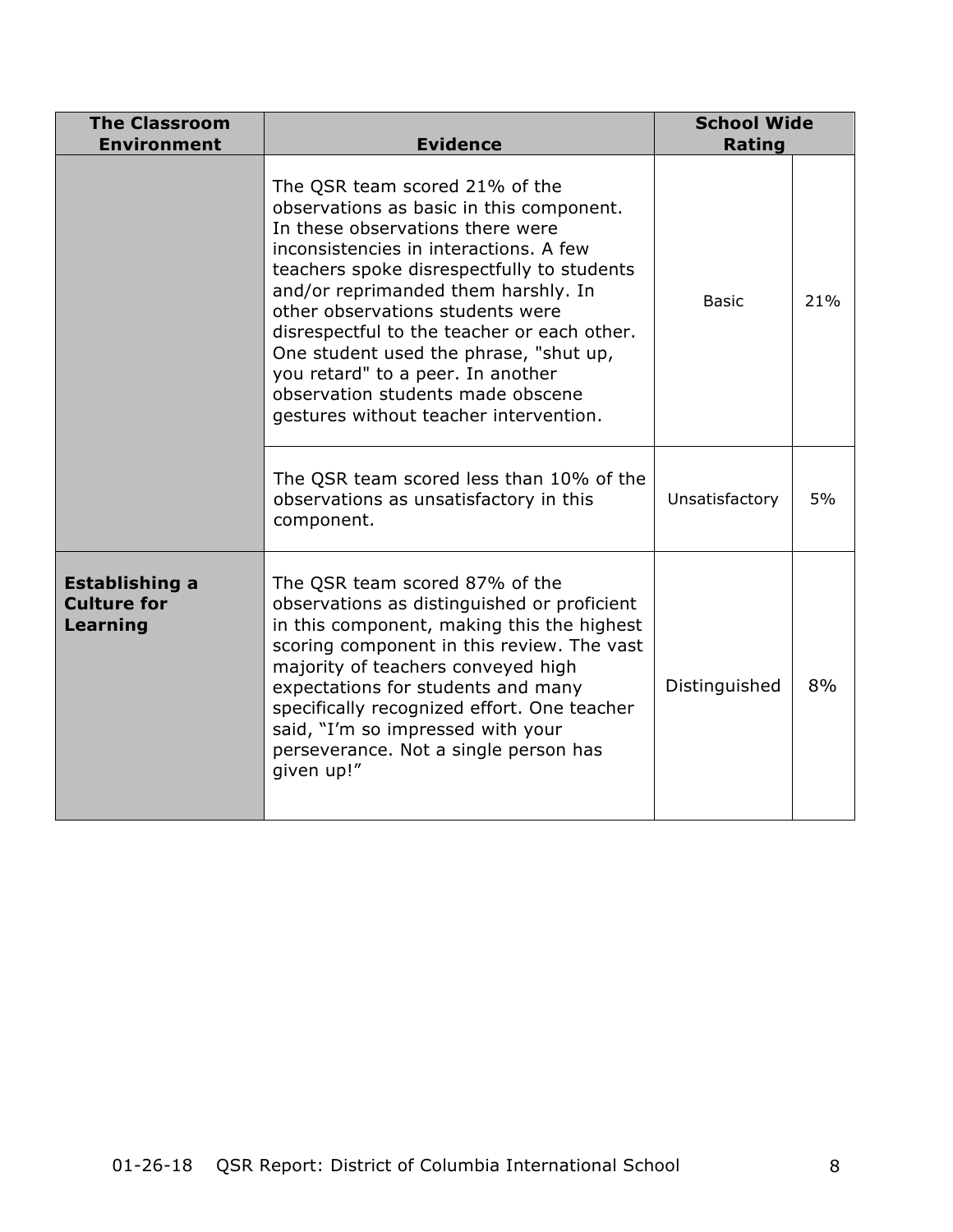| <b>The Classroom</b><br><b>Environment</b>              | <b>Evidence</b>                                                                                                                                                                                                                                                                                                                                                                                                                                                                                | <b>School Wide</b><br><b>Rating</b> |     |
|---------------------------------------------------------|------------------------------------------------------------------------------------------------------------------------------------------------------------------------------------------------------------------------------------------------------------------------------------------------------------------------------------------------------------------------------------------------------------------------------------------------------------------------------------------------|-------------------------------------|-----|
|                                                         | The QSR team scored 21% of the<br>observations as basic in this component.<br>In these observations there were<br>inconsistencies in interactions. A few<br>teachers spoke disrespectfully to students<br>and/or reprimanded them harshly. In<br>other observations students were<br>disrespectful to the teacher or each other.<br>One student used the phrase, "shut up,<br>you retard" to a peer. In another<br>observation students made obscene<br>gestures without teacher intervention. | <b>Basic</b>                        | 21% |
|                                                         | The QSR team scored less than 10% of the<br>observations as unsatisfactory in this<br>component.                                                                                                                                                                                                                                                                                                                                                                                               | Unsatisfactory                      | 5%  |
| <b>Establishing a</b><br><b>Culture for</b><br>Learning | The QSR team scored 87% of the<br>observations as distinguished or proficient<br>in this component, making this the highest<br>scoring component in this review. The vast<br>majority of teachers conveyed high<br>expectations for students and many<br>specifically recognized effort. One teacher<br>said, "I'm so impressed with your<br>perseverance. Not a single person has<br>given up!"                                                                                               | Distinguished                       | 8%  |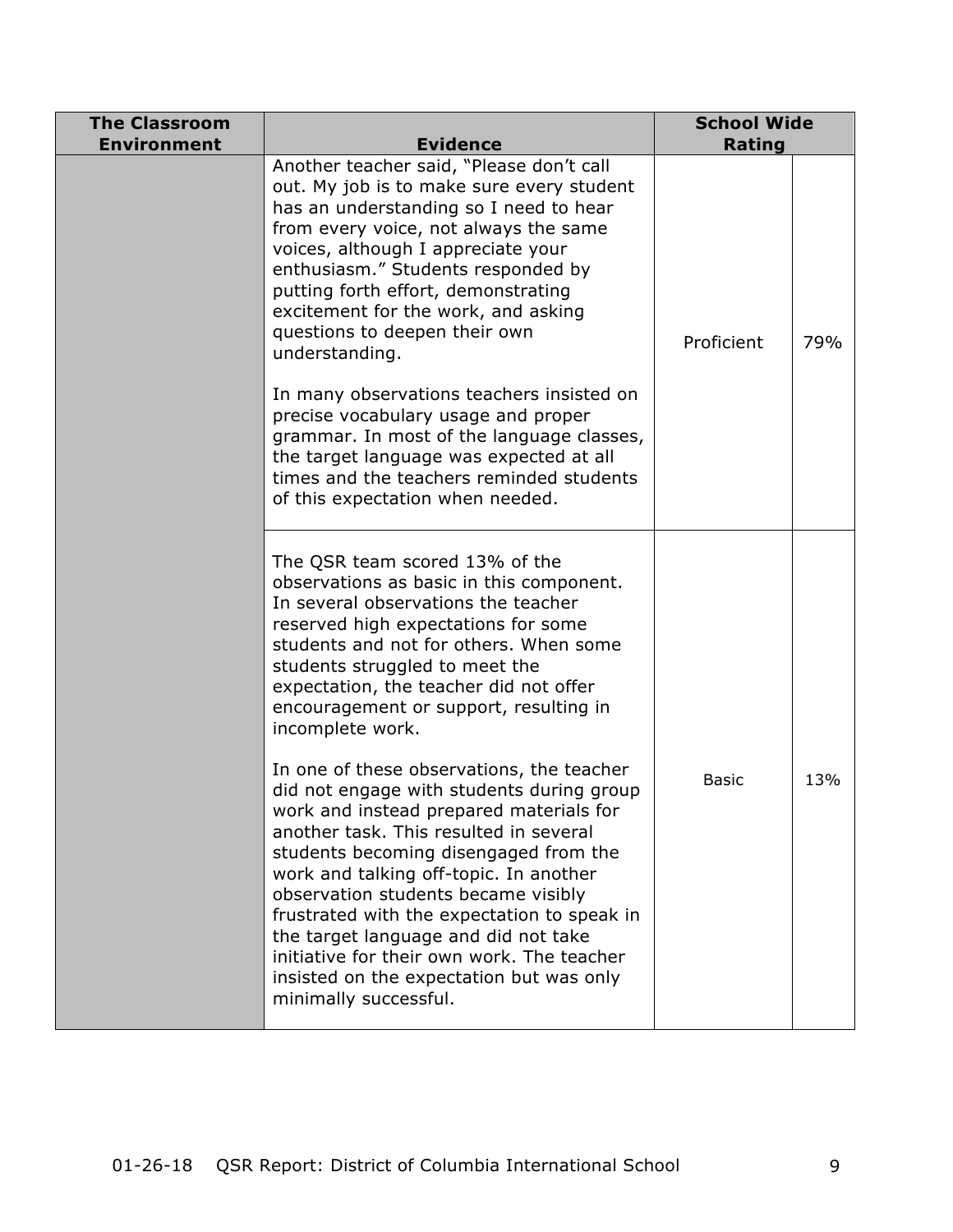| <b>The Classroom</b><br><b>Environment</b> | <b>Evidence</b>                                                                                                                                                                                                                                                                                                                                                                                                                                                                                                 | <b>School Wide</b><br><b>Rating</b> |     |
|--------------------------------------------|-----------------------------------------------------------------------------------------------------------------------------------------------------------------------------------------------------------------------------------------------------------------------------------------------------------------------------------------------------------------------------------------------------------------------------------------------------------------------------------------------------------------|-------------------------------------|-----|
|                                            | Another teacher said, "Please don't call<br>out. My job is to make sure every student<br>has an understanding so I need to hear<br>from every voice, not always the same<br>voices, although I appreciate your<br>enthusiasm." Students responded by<br>putting forth effort, demonstrating<br>excitement for the work, and asking<br>questions to deepen their own<br>understanding.                                                                                                                           | Proficient                          | 79% |
|                                            | In many observations teachers insisted on<br>precise vocabulary usage and proper<br>grammar. In most of the language classes,<br>the target language was expected at all<br>times and the teachers reminded students<br>of this expectation when needed.                                                                                                                                                                                                                                                        |                                     |     |
|                                            | The QSR team scored 13% of the<br>observations as basic in this component.<br>In several observations the teacher<br>reserved high expectations for some<br>students and not for others. When some<br>students struggled to meet the<br>expectation, the teacher did not offer<br>encouragement or support, resulting in<br>incomplete work.                                                                                                                                                                    |                                     |     |
|                                            | In one of these observations, the teacher<br>did not engage with students during group<br>work and instead prepared materials for<br>another task. This resulted in several<br>students becoming disengaged from the<br>work and talking off-topic. In another<br>observation students became visibly<br>frustrated with the expectation to speak in<br>the target language and did not take<br>initiative for their own work. The teacher<br>insisted on the expectation but was only<br>minimally successful. | <b>Basic</b>                        | 13% |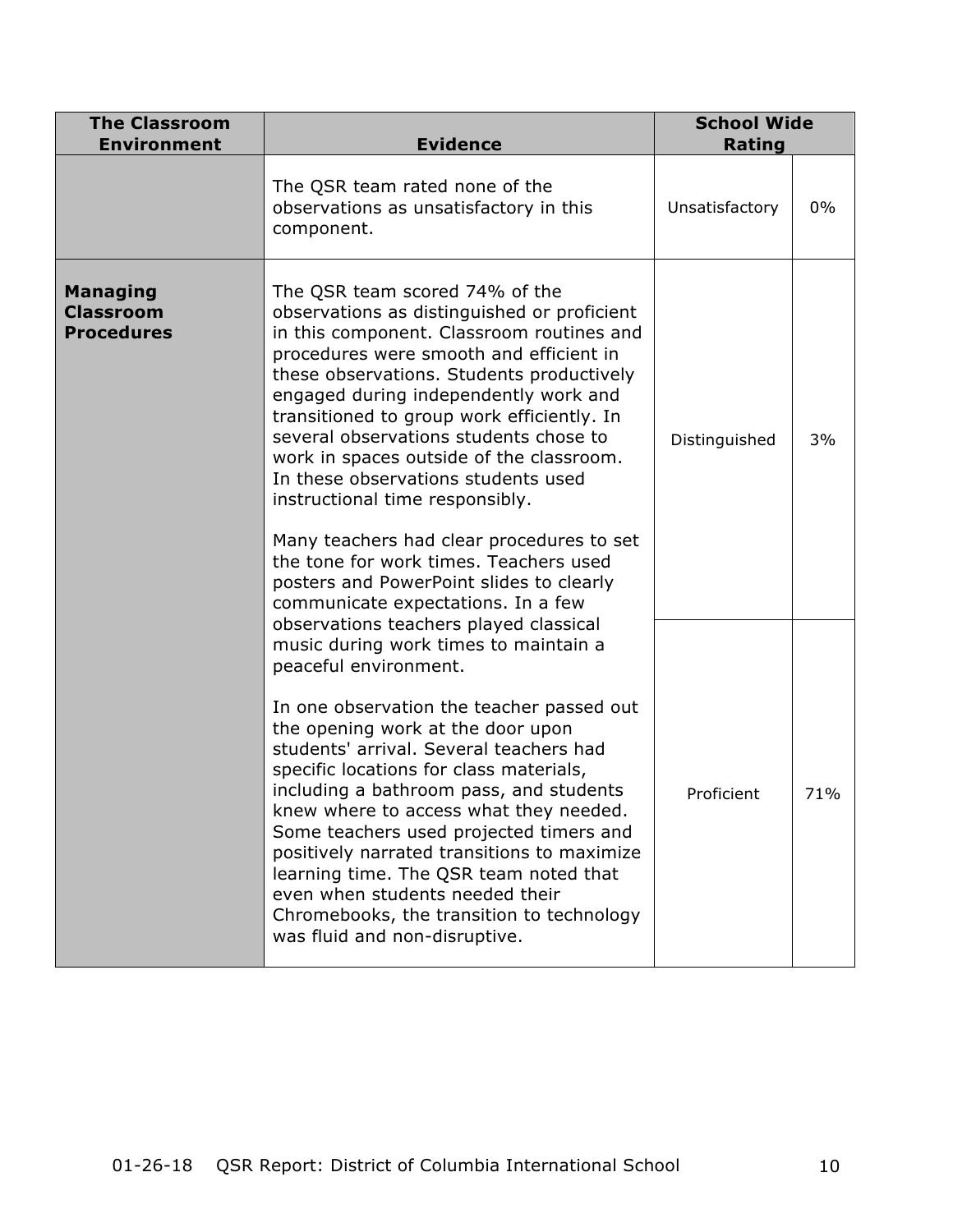| <b>The Classroom</b><br><b>Environment</b>               | <b>Evidence</b>                                                                                                                                                                                                                                                                                                                                                                                                                                                                                                                                                                                                                                    | <b>School Wide</b><br>Rating |       |
|----------------------------------------------------------|----------------------------------------------------------------------------------------------------------------------------------------------------------------------------------------------------------------------------------------------------------------------------------------------------------------------------------------------------------------------------------------------------------------------------------------------------------------------------------------------------------------------------------------------------------------------------------------------------------------------------------------------------|------------------------------|-------|
|                                                          | The QSR team rated none of the<br>observations as unsatisfactory in this<br>component.                                                                                                                                                                                                                                                                                                                                                                                                                                                                                                                                                             | Unsatisfactory               | $0\%$ |
| <b>Managing</b><br><b>Classroom</b><br><b>Procedures</b> | The QSR team scored 74% of the<br>observations as distinguished or proficient<br>in this component. Classroom routines and<br>procedures were smooth and efficient in<br>these observations. Students productively<br>engaged during independently work and<br>transitioned to group work efficiently. In<br>several observations students chose to<br>work in spaces outside of the classroom.<br>In these observations students used<br>instructional time responsibly.<br>Many teachers had clear procedures to set<br>the tone for work times. Teachers used<br>posters and PowerPoint slides to clearly<br>communicate expectations. In a few | Distinguished                | 3%    |
|                                                          | observations teachers played classical<br>music during work times to maintain a<br>peaceful environment.<br>In one observation the teacher passed out<br>the opening work at the door upon<br>students' arrival. Several teachers had<br>specific locations for class materials,<br>including a bathroom pass, and students<br>knew where to access what they needed.<br>Some teachers used projected timers and<br>positively narrated transitions to maximize<br>learning time. The QSR team noted that<br>even when students needed their<br>Chromebooks, the transition to technology<br>was fluid and non-disruptive.                         | Proficient                   | 71%   |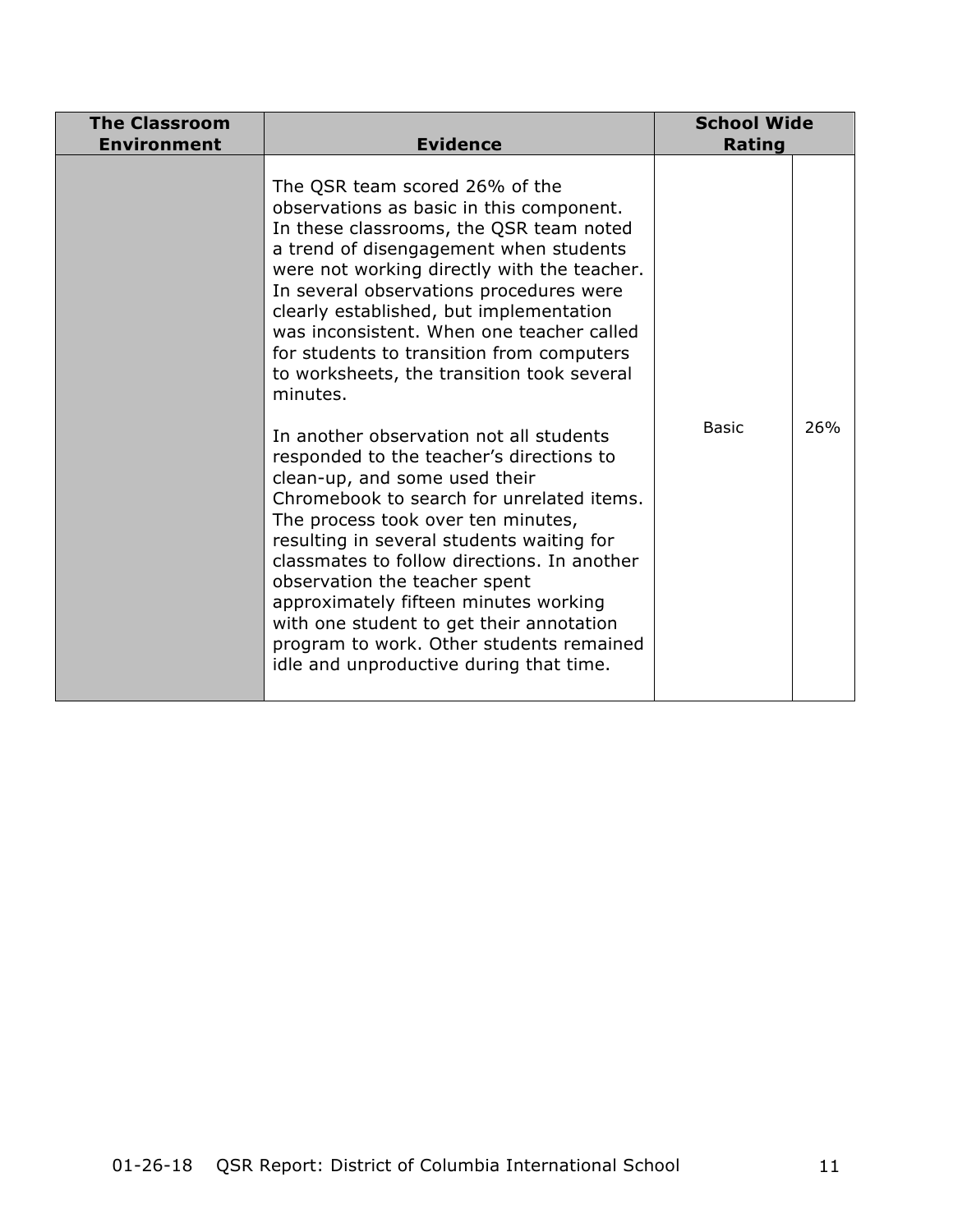| <b>The Classroom</b><br><b>Environment</b> | <b>Evidence</b>                                                                                                                                                                                                                                                                                                                                                                                                                                                                                                                                                                                                                                                                                                                                                                                                                                                                                                                                                              | <b>School Wide</b><br>Rating |     |
|--------------------------------------------|------------------------------------------------------------------------------------------------------------------------------------------------------------------------------------------------------------------------------------------------------------------------------------------------------------------------------------------------------------------------------------------------------------------------------------------------------------------------------------------------------------------------------------------------------------------------------------------------------------------------------------------------------------------------------------------------------------------------------------------------------------------------------------------------------------------------------------------------------------------------------------------------------------------------------------------------------------------------------|------------------------------|-----|
|                                            | The QSR team scored 26% of the<br>observations as basic in this component.<br>In these classrooms, the QSR team noted<br>a trend of disengagement when students<br>were not working directly with the teacher.<br>In several observations procedures were<br>clearly established, but implementation<br>was inconsistent. When one teacher called<br>for students to transition from computers<br>to worksheets, the transition took several<br>minutes.<br>In another observation not all students<br>responded to the teacher's directions to<br>clean-up, and some used their<br>Chromebook to search for unrelated items.<br>The process took over ten minutes,<br>resulting in several students waiting for<br>classmates to follow directions. In another<br>observation the teacher spent<br>approximately fifteen minutes working<br>with one student to get their annotation<br>program to work. Other students remained<br>idle and unproductive during that time. | <b>Basic</b>                 | 26% |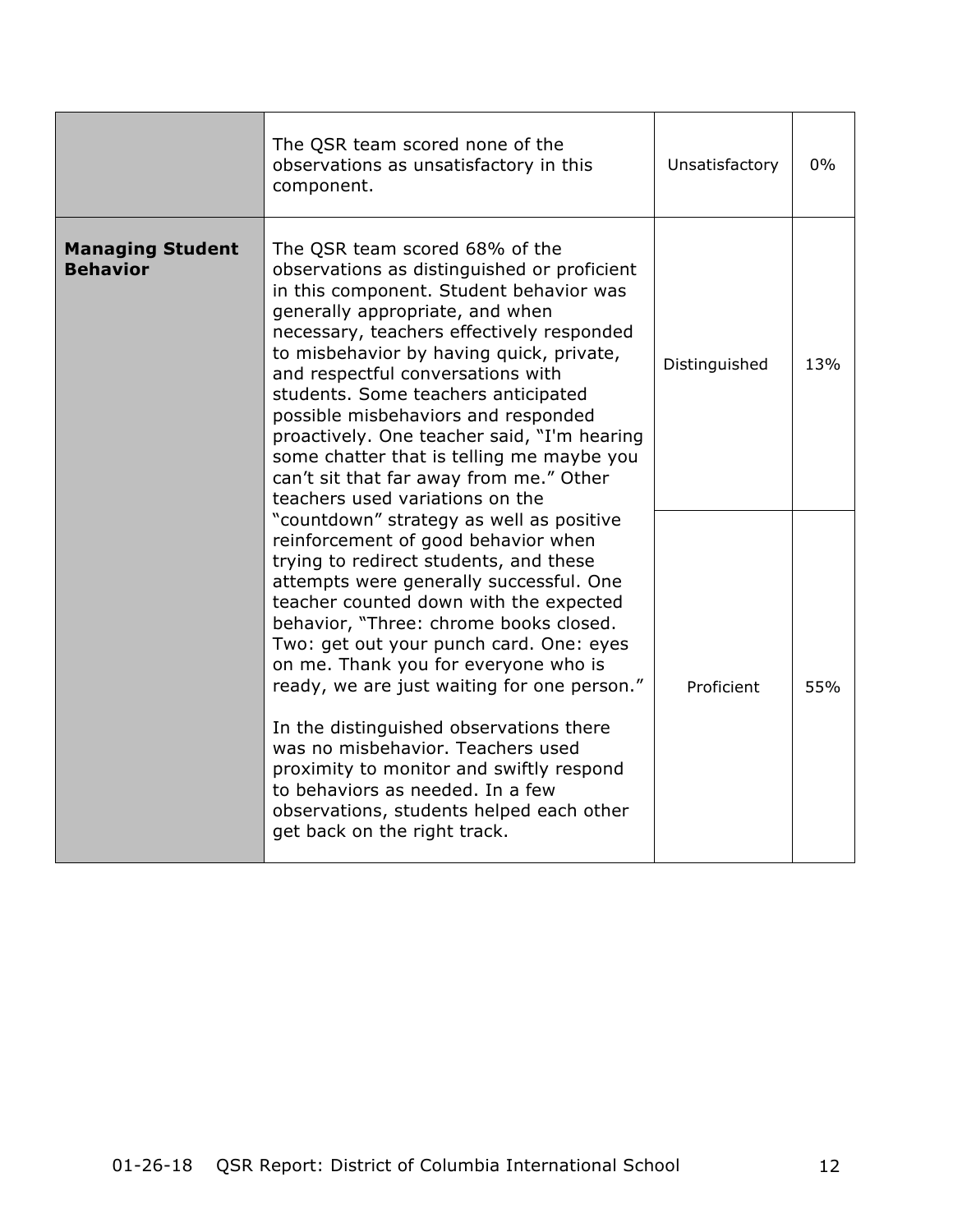|                                                                                                                                                                                                                                                                                                                                                                                                                                                                                                                                                                                                 | The QSR team scored none of the<br>observations as unsatisfactory in this<br>component.                                                                                                                                                                                                                                                                                                                                                                                                                                                                                                                                                | Unsatisfactory | $0\%$ |
|-------------------------------------------------------------------------------------------------------------------------------------------------------------------------------------------------------------------------------------------------------------------------------------------------------------------------------------------------------------------------------------------------------------------------------------------------------------------------------------------------------------------------------------------------------------------------------------------------|----------------------------------------------------------------------------------------------------------------------------------------------------------------------------------------------------------------------------------------------------------------------------------------------------------------------------------------------------------------------------------------------------------------------------------------------------------------------------------------------------------------------------------------------------------------------------------------------------------------------------------------|----------------|-------|
| <b>Managing Student</b><br>The QSR team scored 68% of the<br><b>Behavior</b><br>observations as distinguished or proficient<br>in this component. Student behavior was<br>generally appropriate, and when<br>necessary, teachers effectively responded<br>to misbehavior by having quick, private,<br>and respectful conversations with<br>students. Some teachers anticipated<br>possible misbehaviors and responded<br>proactively. One teacher said, "I'm hearing<br>some chatter that is telling me maybe you<br>can't sit that far away from me." Other<br>teachers used variations on the | Distinguished                                                                                                                                                                                                                                                                                                                                                                                                                                                                                                                                                                                                                          | 13%            |       |
|                                                                                                                                                                                                                                                                                                                                                                                                                                                                                                                                                                                                 | "countdown" strategy as well as positive<br>reinforcement of good behavior when<br>trying to redirect students, and these<br>attempts were generally successful. One<br>teacher counted down with the expected<br>behavior, "Three: chrome books closed.<br>Two: get out your punch card. One: eyes<br>on me. Thank you for everyone who is<br>ready, we are just waiting for one person."<br>In the distinguished observations there<br>was no misbehavior. Teachers used<br>proximity to monitor and swiftly respond<br>to behaviors as needed. In a few<br>observations, students helped each other<br>get back on the right track. | Proficient     | 55%   |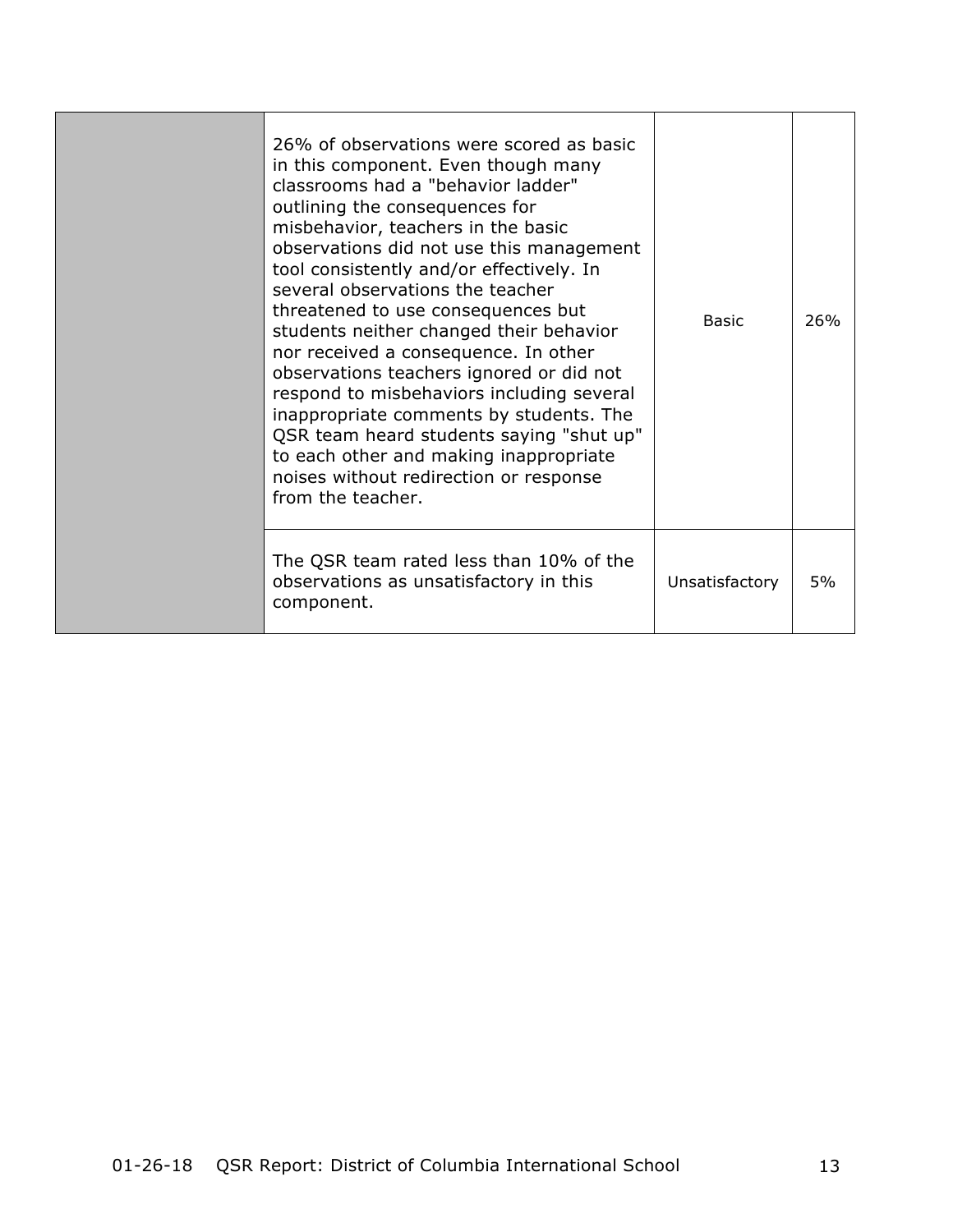| 26% of observations were scored as basic<br>in this component. Even though many<br>classrooms had a "behavior ladder"<br>outlining the consequences for<br>misbehavior, teachers in the basic<br>observations did not use this management<br>tool consistently and/or effectively. In<br>several observations the teacher<br>threatened to use consequences but<br>students neither changed their behavior<br>nor received a consequence. In other<br>observations teachers ignored or did not<br>respond to misbehaviors including several<br>inappropriate comments by students. The<br>QSR team heard students saying "shut up"<br>to each other and making inappropriate<br>noises without redirection or response<br>from the teacher. | <b>Basic</b>   | 26% |
|---------------------------------------------------------------------------------------------------------------------------------------------------------------------------------------------------------------------------------------------------------------------------------------------------------------------------------------------------------------------------------------------------------------------------------------------------------------------------------------------------------------------------------------------------------------------------------------------------------------------------------------------------------------------------------------------------------------------------------------------|----------------|-----|
| The QSR team rated less than 10% of the<br>observations as unsatisfactory in this<br>component.                                                                                                                                                                                                                                                                                                                                                                                                                                                                                                                                                                                                                                             | Unsatisfactory | 5%  |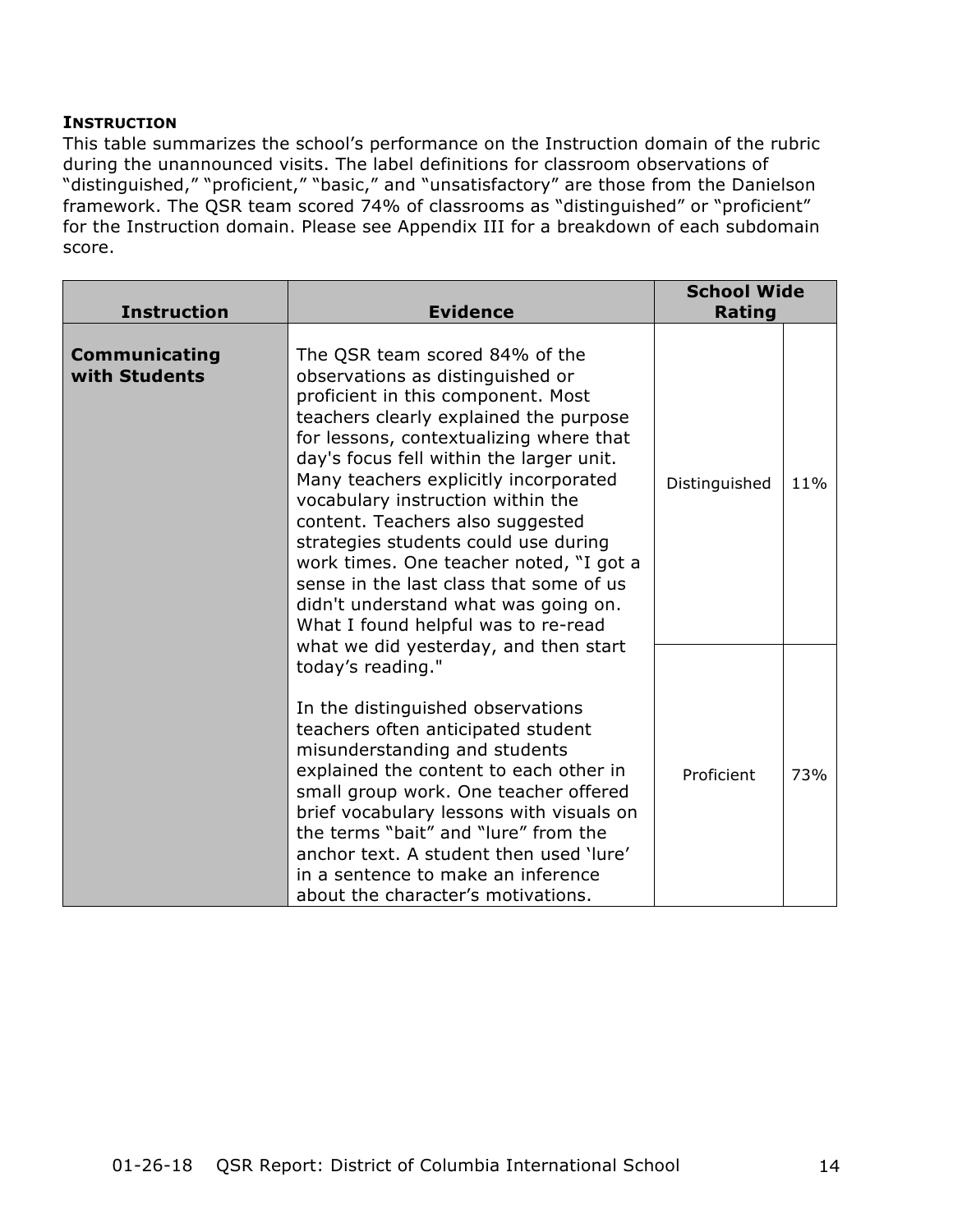#### **INSTRUCTION**

This table summarizes the school's performance on the Instruction domain of the rubric during the unannounced visits. The label definitions for classroom observations of "distinguished," "proficient," "basic," and "unsatisfactory" are those from the Danielson framework. The QSR team scored 74% of classrooms as "distinguished" or "proficient" for the Instruction domain. Please see Appendix III for a breakdown of each subdomain score.

| <b>Instruction</b>                    | <b>Evidence</b>                                                                                                                                                                                                                                                                                                                                                                                                                                                                                                                                                          | <b>School Wide</b><br>Rating |     |
|---------------------------------------|--------------------------------------------------------------------------------------------------------------------------------------------------------------------------------------------------------------------------------------------------------------------------------------------------------------------------------------------------------------------------------------------------------------------------------------------------------------------------------------------------------------------------------------------------------------------------|------------------------------|-----|
| <b>Communicating</b><br>with Students | The QSR team scored 84% of the<br>observations as distinguished or<br>proficient in this component. Most<br>teachers clearly explained the purpose<br>for lessons, contextualizing where that<br>day's focus fell within the larger unit.<br>Many teachers explicitly incorporated<br>vocabulary instruction within the<br>content. Teachers also suggested<br>strategies students could use during<br>work times. One teacher noted, "I got a<br>sense in the last class that some of us<br>didn't understand what was going on.<br>What I found helpful was to re-read | Distinguished                | 11% |
|                                       | what we did yesterday, and then start<br>today's reading."<br>In the distinguished observations<br>teachers often anticipated student<br>misunderstanding and students<br>explained the content to each other in<br>small group work. One teacher offered<br>brief vocabulary lessons with visuals on<br>the terms "bait" and "lure" from the<br>anchor text. A student then used 'lure'<br>in a sentence to make an inference<br>about the character's motivations.                                                                                                     | Proficient                   | 73% |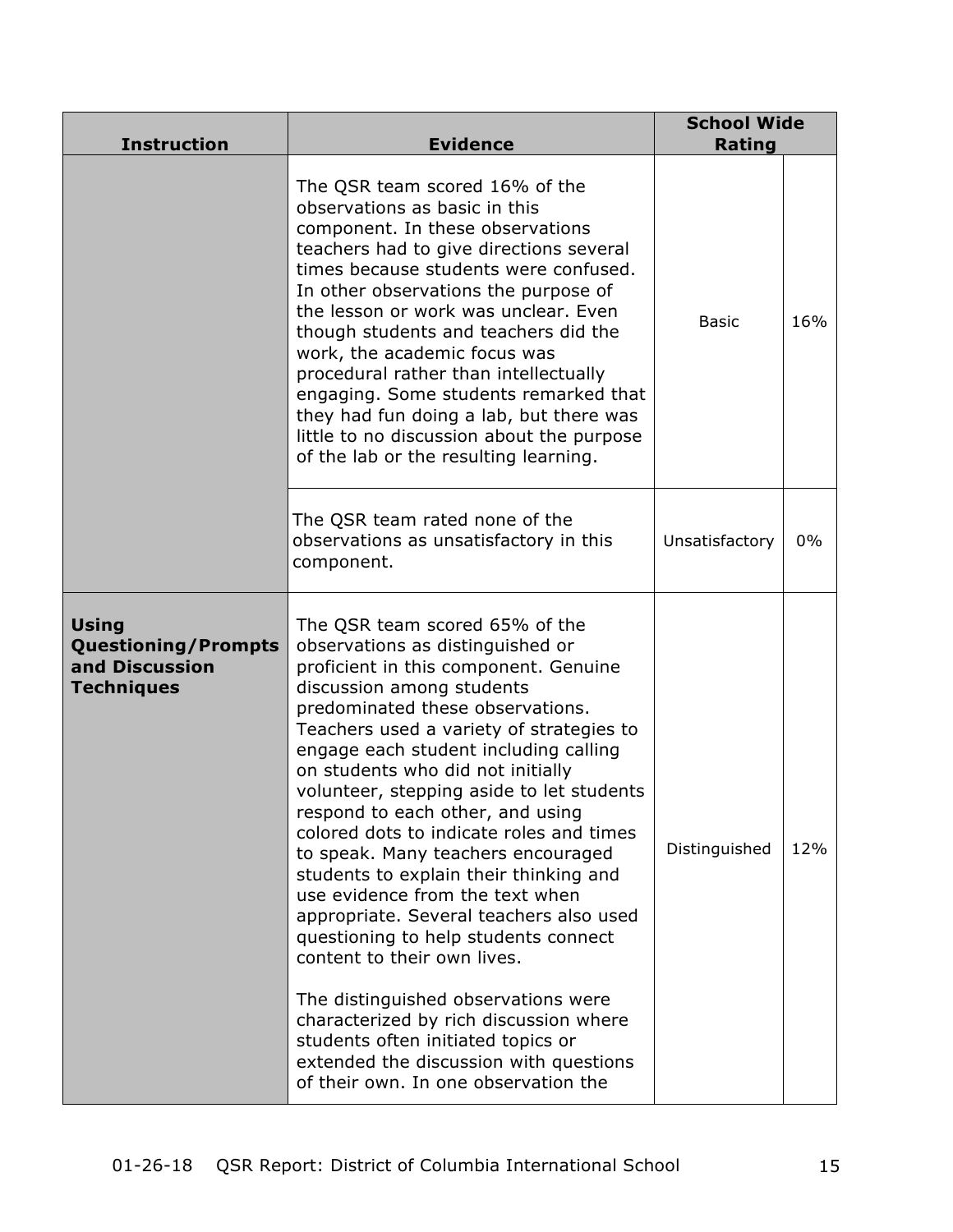| <b>Instruction</b>                                                                | <b>Evidence</b>                                                                                                                                                                                                                                                                                                                                                                                                                                                                                                                                                                                                                                                                                                                                                                                                                                                                   | <b>School Wide</b><br><b>Rating</b> |     |
|-----------------------------------------------------------------------------------|-----------------------------------------------------------------------------------------------------------------------------------------------------------------------------------------------------------------------------------------------------------------------------------------------------------------------------------------------------------------------------------------------------------------------------------------------------------------------------------------------------------------------------------------------------------------------------------------------------------------------------------------------------------------------------------------------------------------------------------------------------------------------------------------------------------------------------------------------------------------------------------|-------------------------------------|-----|
|                                                                                   | The QSR team scored 16% of the<br>observations as basic in this<br>component. In these observations<br>teachers had to give directions several<br>times because students were confused.<br>In other observations the purpose of<br>the lesson or work was unclear. Even<br>though students and teachers did the<br>work, the academic focus was<br>procedural rather than intellectually<br>engaging. Some students remarked that<br>they had fun doing a lab, but there was<br>little to no discussion about the purpose<br>of the lab or the resulting learning.                                                                                                                                                                                                                                                                                                                | <b>Basic</b>                        | 16% |
|                                                                                   | The QSR team rated none of the<br>observations as unsatisfactory in this<br>component.                                                                                                                                                                                                                                                                                                                                                                                                                                                                                                                                                                                                                                                                                                                                                                                            | Unsatisfactory                      | 0%  |
| <b>Using</b><br><b>Questioning/Prompts</b><br>and Discussion<br><b>Techniques</b> | The QSR team scored 65% of the<br>observations as distinguished or<br>proficient in this component. Genuine<br>discussion among students<br>predominated these observations.<br>Teachers used a variety of strategies to<br>engage each student including calling<br>on students who did not initially<br>volunteer, stepping aside to let students<br>respond to each other, and using<br>colored dots to indicate roles and times<br>to speak. Many teachers encouraged<br>students to explain their thinking and<br>use evidence from the text when<br>appropriate. Several teachers also used<br>questioning to help students connect<br>content to their own lives.<br>The distinguished observations were<br>characterized by rich discussion where<br>students often initiated topics or<br>extended the discussion with questions<br>of their own. In one observation the | Distinguished                       | 12% |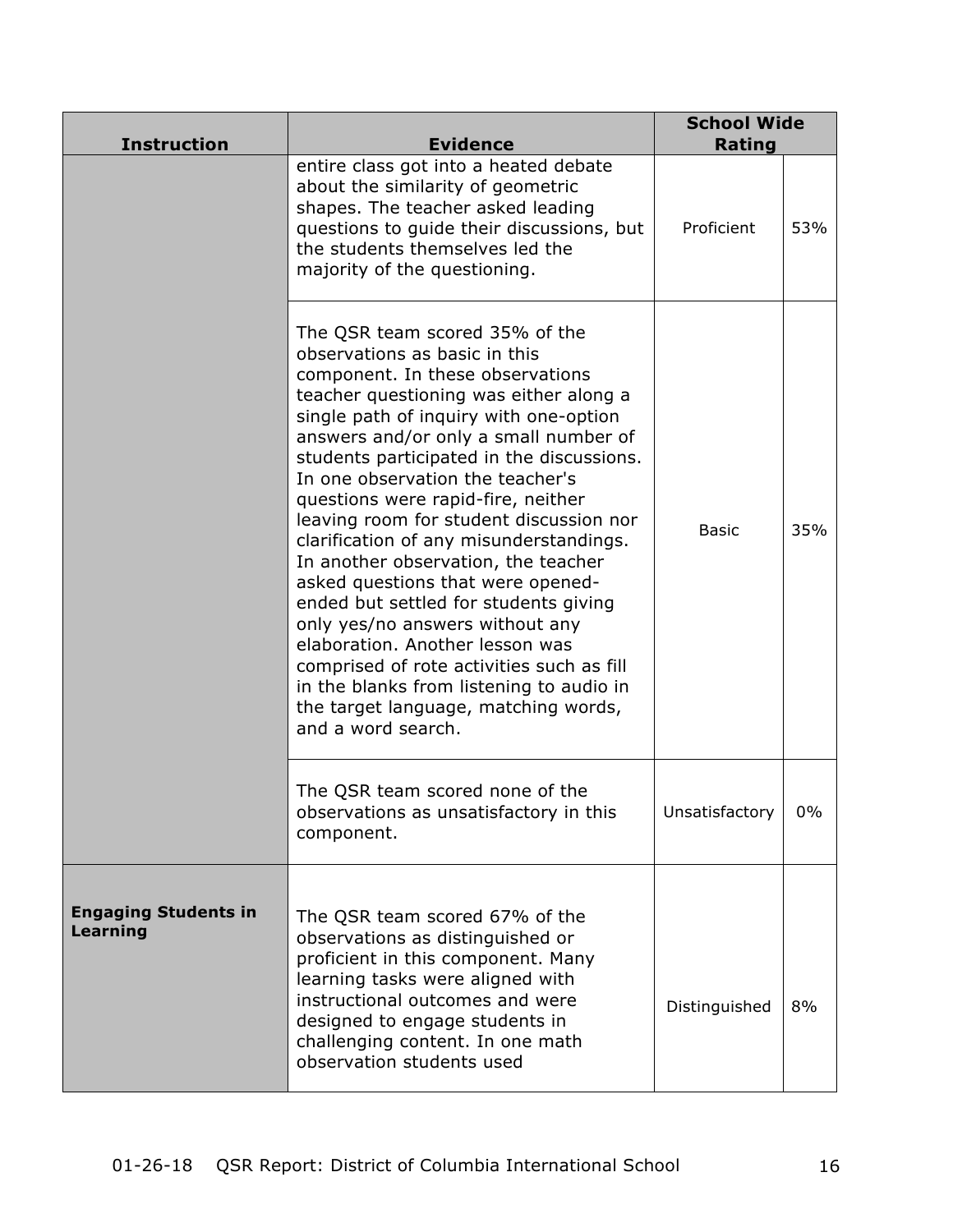| <b>Instruction</b>                      | <b>Evidence</b>                                                                                                                                                                                                                                                                                                                                                                                                                                                                                                                                                                                                                                                                                                                                                                                 | <b>School Wide</b><br><b>Rating</b> |     |
|-----------------------------------------|-------------------------------------------------------------------------------------------------------------------------------------------------------------------------------------------------------------------------------------------------------------------------------------------------------------------------------------------------------------------------------------------------------------------------------------------------------------------------------------------------------------------------------------------------------------------------------------------------------------------------------------------------------------------------------------------------------------------------------------------------------------------------------------------------|-------------------------------------|-----|
|                                         | entire class got into a heated debate<br>about the similarity of geometric<br>shapes. The teacher asked leading<br>questions to guide their discussions, but<br>the students themselves led the<br>majority of the questioning.                                                                                                                                                                                                                                                                                                                                                                                                                                                                                                                                                                 | Proficient                          | 53% |
|                                         | The QSR team scored 35% of the<br>observations as basic in this<br>component. In these observations<br>teacher questioning was either along a<br>single path of inquiry with one-option<br>answers and/or only a small number of<br>students participated in the discussions.<br>In one observation the teacher's<br>questions were rapid-fire, neither<br>leaving room for student discussion nor<br>clarification of any misunderstandings.<br>In another observation, the teacher<br>asked questions that were opened-<br>ended but settled for students giving<br>only yes/no answers without any<br>elaboration. Another lesson was<br>comprised of rote activities such as fill<br>in the blanks from listening to audio in<br>the target language, matching words,<br>and a word search. | <b>Basic</b>                        | 35% |
|                                         | The QSR team scored none of the<br>observations as unsatisfactory in this<br>component.                                                                                                                                                                                                                                                                                                                                                                                                                                                                                                                                                                                                                                                                                                         | Unsatisfactory                      | U%  |
| <b>Engaging Students in</b><br>Learning | The QSR team scored 67% of the<br>observations as distinguished or<br>proficient in this component. Many<br>learning tasks were aligned with<br>instructional outcomes and were<br>designed to engage students in<br>challenging content. In one math<br>observation students used                                                                                                                                                                                                                                                                                                                                                                                                                                                                                                              | Distinguished                       | 8%  |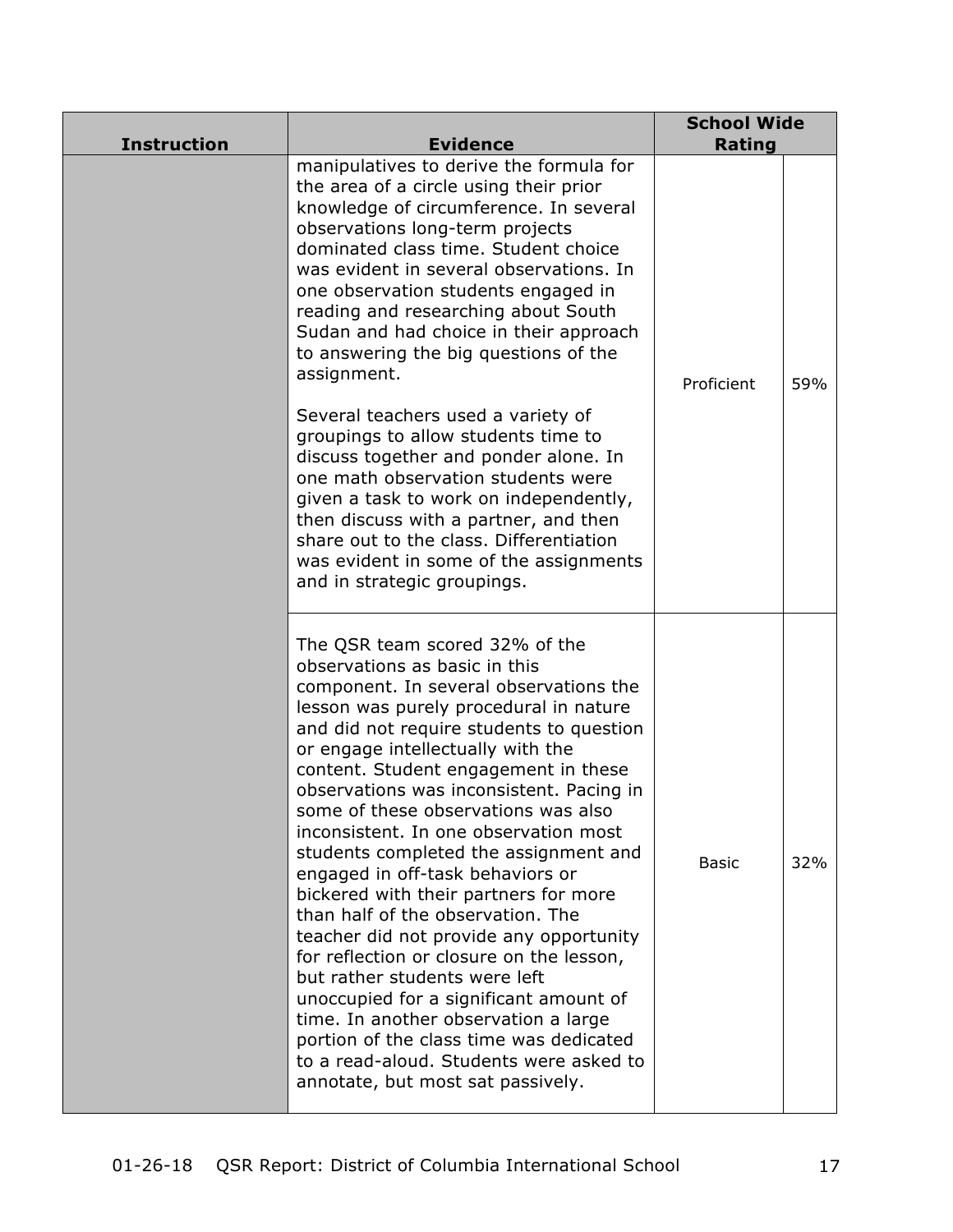| <b>Instruction</b> | <b>Evidence</b>                                                                                                                                                                                                                                                                                                                                                                                                                                                                                                                                                                                                                                                                                                                                                                                                                                                                                          | <b>School Wide</b><br><b>Rating</b> |     |
|--------------------|----------------------------------------------------------------------------------------------------------------------------------------------------------------------------------------------------------------------------------------------------------------------------------------------------------------------------------------------------------------------------------------------------------------------------------------------------------------------------------------------------------------------------------------------------------------------------------------------------------------------------------------------------------------------------------------------------------------------------------------------------------------------------------------------------------------------------------------------------------------------------------------------------------|-------------------------------------|-----|
|                    | manipulatives to derive the formula for<br>the area of a circle using their prior<br>knowledge of circumference. In several<br>observations long-term projects<br>dominated class time. Student choice<br>was evident in several observations. In<br>one observation students engaged in<br>reading and researching about South<br>Sudan and had choice in their approach<br>to answering the big questions of the<br>assignment.<br>Several teachers used a variety of<br>groupings to allow students time to                                                                                                                                                                                                                                                                                                                                                                                           | Proficient                          | 59% |
|                    | discuss together and ponder alone. In<br>one math observation students were<br>given a task to work on independently,<br>then discuss with a partner, and then<br>share out to the class. Differentiation<br>was evident in some of the assignments<br>and in strategic groupings.                                                                                                                                                                                                                                                                                                                                                                                                                                                                                                                                                                                                                       |                                     |     |
|                    | The QSR team scored 32% of the<br>observations as basic in this<br>component. In several observations the<br>lesson was purely procedural in nature<br>and did not require students to question<br>or engage intellectually with the<br>content. Student engagement in these<br>observations was inconsistent. Pacing in<br>some of these observations was also<br>inconsistent. In one observation most<br>students completed the assignment and<br>engaged in off-task behaviors or<br>bickered with their partners for more<br>than half of the observation. The<br>teacher did not provide any opportunity<br>for reflection or closure on the lesson,<br>but rather students were left<br>unoccupied for a significant amount of<br>time. In another observation a large<br>portion of the class time was dedicated<br>to a read-aloud. Students were asked to<br>annotate, but most sat passively. | <b>Basic</b>                        | 32% |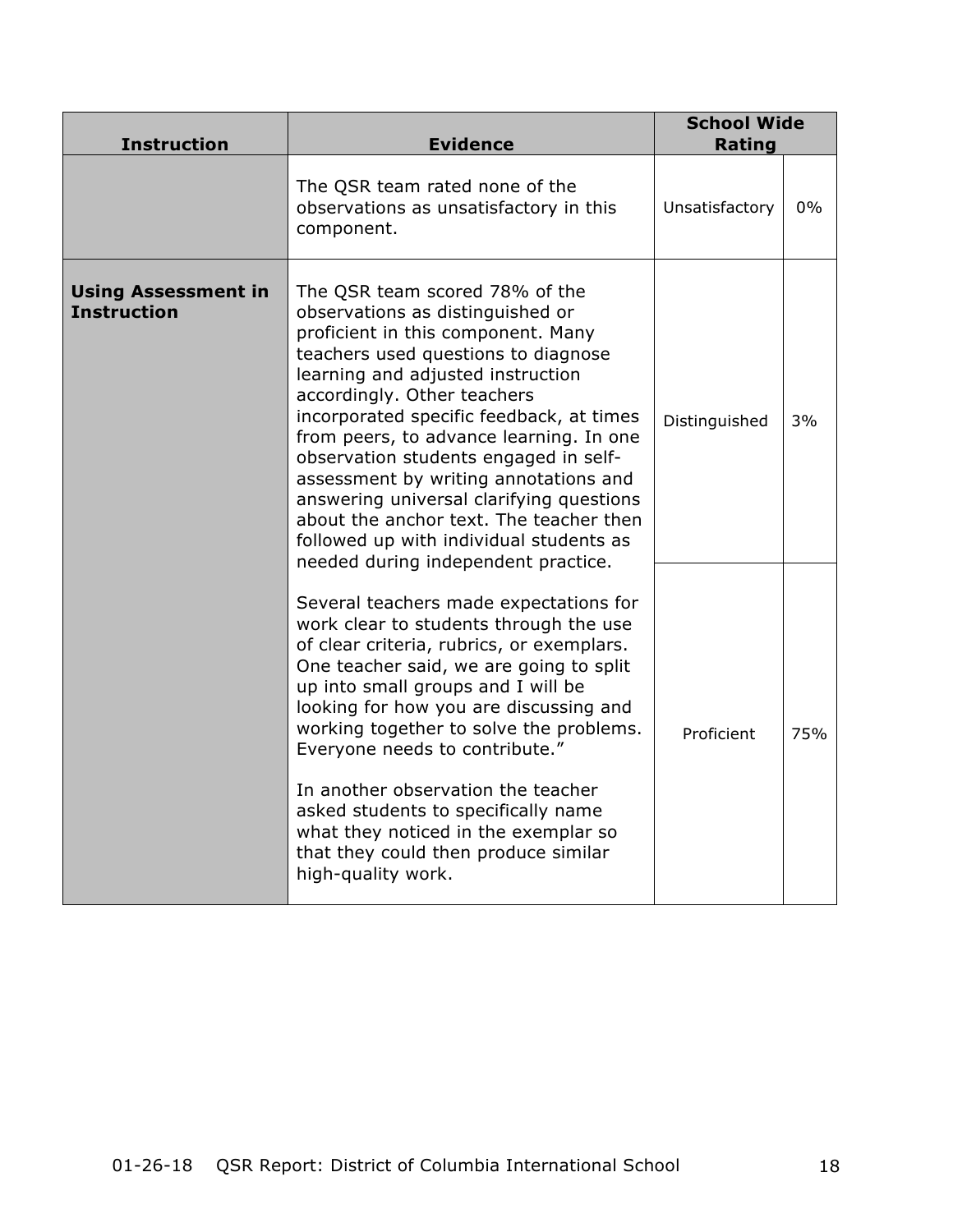| <b>Instruction</b>                               | <b>Evidence</b>                                                                                                                                                                                                                                                                                                                                                                                                                                                                                                                                                       | <b>School Wide</b><br><b>Rating</b> |       |
|--------------------------------------------------|-----------------------------------------------------------------------------------------------------------------------------------------------------------------------------------------------------------------------------------------------------------------------------------------------------------------------------------------------------------------------------------------------------------------------------------------------------------------------------------------------------------------------------------------------------------------------|-------------------------------------|-------|
|                                                  | The QSR team rated none of the<br>observations as unsatisfactory in this<br>component.                                                                                                                                                                                                                                                                                                                                                                                                                                                                                | Unsatisfactory                      | $0\%$ |
| <b>Using Assessment in</b><br><b>Instruction</b> | The QSR team scored 78% of the<br>observations as distinguished or<br>proficient in this component. Many<br>teachers used questions to diagnose<br>learning and adjusted instruction<br>accordingly. Other teachers<br>incorporated specific feedback, at times<br>from peers, to advance learning. In one<br>observation students engaged in self-<br>assessment by writing annotations and<br>answering universal clarifying questions<br>about the anchor text. The teacher then<br>followed up with individual students as<br>needed during independent practice. | Distinguished                       | 3%    |
|                                                  | Several teachers made expectations for<br>work clear to students through the use<br>of clear criteria, rubrics, or exemplars.<br>One teacher said, we are going to split<br>up into small groups and I will be<br>looking for how you are discussing and<br>working together to solve the problems.<br>Everyone needs to contribute."<br>In another observation the teacher<br>asked students to specifically name<br>what they noticed in the exemplar so<br>that they could then produce similar<br>high-quality work.                                              | Proficient                          | 75%   |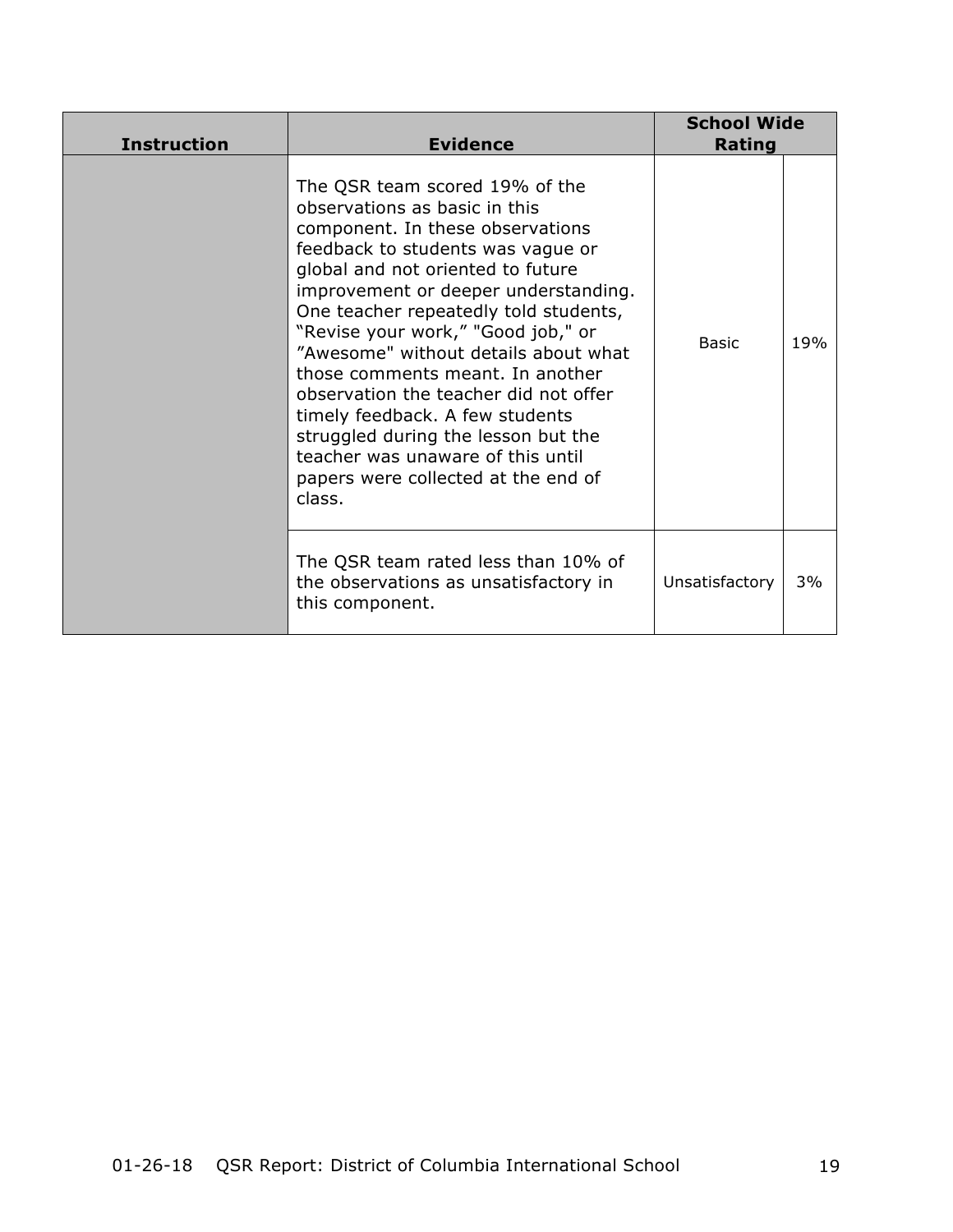| <b>Instruction</b> | <b>Evidence</b>                                                                                                                                                                                                                                                                                                                                                                                                                                                                                                                                                                           | <b>School Wide</b><br>Rating |     |
|--------------------|-------------------------------------------------------------------------------------------------------------------------------------------------------------------------------------------------------------------------------------------------------------------------------------------------------------------------------------------------------------------------------------------------------------------------------------------------------------------------------------------------------------------------------------------------------------------------------------------|------------------------------|-----|
|                    | The QSR team scored 19% of the<br>observations as basic in this<br>component. In these observations<br>feedback to students was vague or<br>global and not oriented to future<br>improvement or deeper understanding.<br>One teacher repeatedly told students,<br>"Revise your work," "Good job," or<br>"Awesome" without details about what<br>those comments meant. In another<br>observation the teacher did not offer<br>timely feedback. A few students<br>struggled during the lesson but the<br>teacher was unaware of this until<br>papers were collected at the end of<br>class. | Basic                        | 19% |
|                    | The QSR team rated less than 10% of<br>the observations as unsatisfactory in<br>this component.                                                                                                                                                                                                                                                                                                                                                                                                                                                                                           | Unsatisfactory               | 3%  |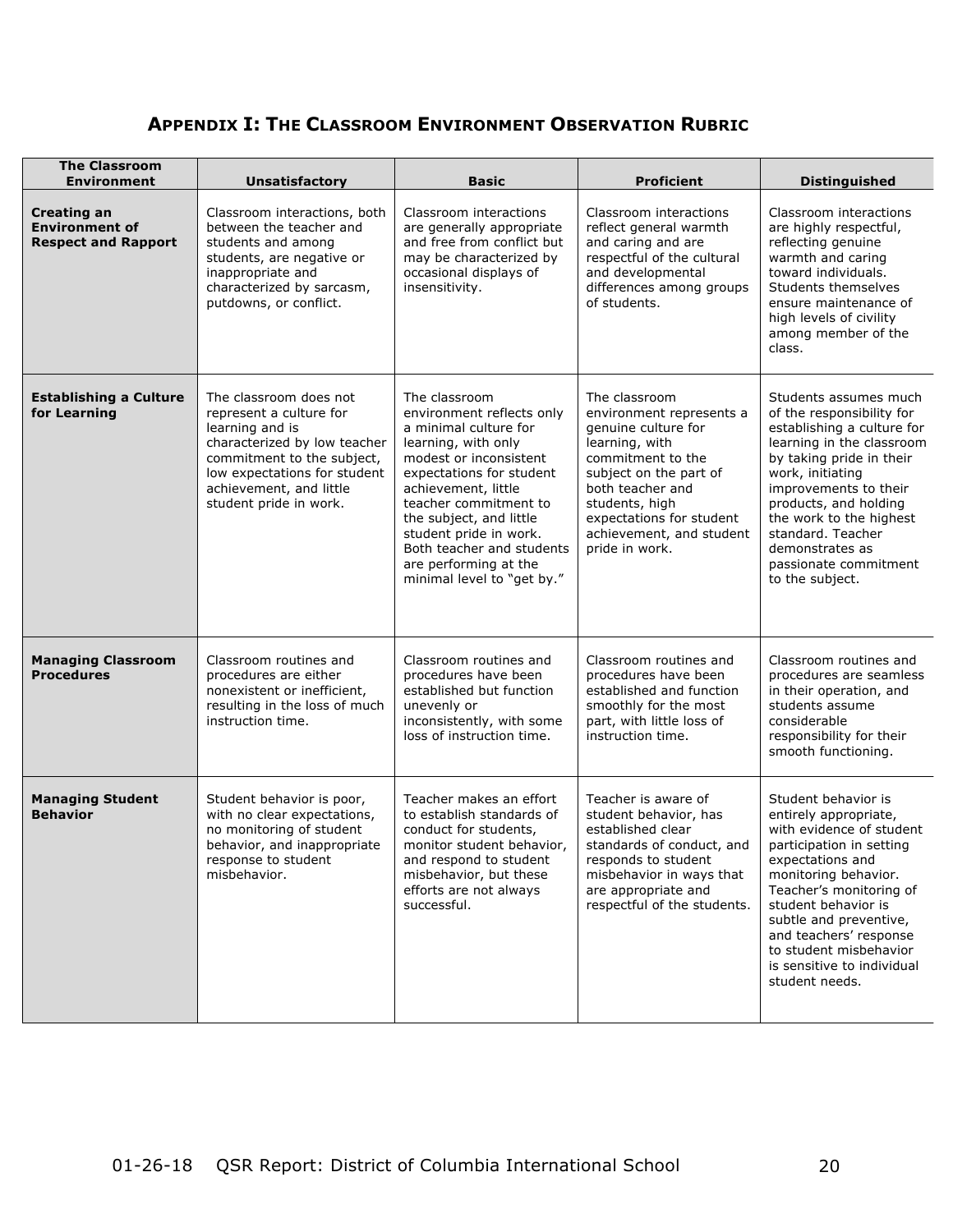# **APPENDIX I: THE CLASSROOM ENVIRONMENT OBSERVATION RUBRIC**

| <b>The Classroom</b><br><b>Environment</b>                                | <b>Unsatisfactory</b>                                                                                                                                                                                                   | <b>Basic</b>                                                                                                                                                                                                                                                                                                                              | <b>Proficient</b>                                                                                                                                                                                                                                 | <b>Distinguished</b>                                                                                                                                                                                                                                                                                                             |
|---------------------------------------------------------------------------|-------------------------------------------------------------------------------------------------------------------------------------------------------------------------------------------------------------------------|-------------------------------------------------------------------------------------------------------------------------------------------------------------------------------------------------------------------------------------------------------------------------------------------------------------------------------------------|---------------------------------------------------------------------------------------------------------------------------------------------------------------------------------------------------------------------------------------------------|----------------------------------------------------------------------------------------------------------------------------------------------------------------------------------------------------------------------------------------------------------------------------------------------------------------------------------|
| <b>Creating an</b><br><b>Environment of</b><br><b>Respect and Rapport</b> | Classroom interactions, both<br>between the teacher and<br>students and among<br>students, are negative or<br>inappropriate and<br>characterized by sarcasm,<br>putdowns, or conflict.                                  | Classroom interactions<br>are generally appropriate<br>and free from conflict but<br>may be characterized by<br>occasional displays of<br>insensitivity.                                                                                                                                                                                  | Classroom interactions<br>reflect general warmth<br>and caring and are<br>respectful of the cultural<br>and developmental<br>differences among groups<br>of students.                                                                             | Classroom interactions<br>are highly respectful,<br>reflecting genuine<br>warmth and caring<br>toward individuals.<br>Students themselves<br>ensure maintenance of<br>high levels of civility<br>among member of the<br>class.                                                                                                   |
| <b>Establishing a Culture</b><br>for Learning                             | The classroom does not<br>represent a culture for<br>learning and is<br>characterized by low teacher<br>commitment to the subject,<br>low expectations for student<br>achievement, and little<br>student pride in work. | The classroom<br>environment reflects only<br>a minimal culture for<br>learning, with only<br>modest or inconsistent<br>expectations for student<br>achievement, little<br>teacher commitment to<br>the subject, and little<br>student pride in work.<br>Both teacher and students<br>are performing at the<br>minimal level to "get by." | The classroom<br>environment represents a<br>genuine culture for<br>learning, with<br>commitment to the<br>subject on the part of<br>both teacher and<br>students, high<br>expectations for student<br>achievement, and student<br>pride in work. | Students assumes much<br>of the responsibility for<br>establishing a culture for<br>learning in the classroom<br>by taking pride in their<br>work, initiating<br>improvements to their<br>products, and holding<br>the work to the highest<br>standard. Teacher<br>demonstrates as<br>passionate commitment<br>to the subject.   |
| <b>Managing Classroom</b><br><b>Procedures</b>                            | Classroom routines and<br>procedures are either<br>nonexistent or inefficient,<br>resulting in the loss of much<br>instruction time.                                                                                    | Classroom routines and<br>procedures have been<br>established but function<br>unevenly or<br>inconsistently, with some<br>loss of instruction time.                                                                                                                                                                                       | Classroom routines and<br>procedures have been<br>established and function<br>smoothly for the most<br>part, with little loss of<br>instruction time.                                                                                             | Classroom routines and<br>procedures are seamless<br>in their operation, and<br>students assume<br>considerable<br>responsibility for their<br>smooth functioning.                                                                                                                                                               |
| <b>Managing Student</b><br><b>Behavior</b>                                | Student behavior is poor,<br>with no clear expectations,<br>no monitoring of student<br>behavior, and inappropriate<br>response to student<br>misbehavior.                                                              | Teacher makes an effort<br>to establish standards of<br>conduct for students,<br>monitor student behavior,<br>and respond to student<br>misbehavior, but these<br>efforts are not always<br>successful.                                                                                                                                   | Teacher is aware of<br>student behavior, has<br>established clear<br>standards of conduct, and<br>responds to student<br>misbehavior in ways that<br>are appropriate and<br>respectful of the students.                                           | Student behavior is<br>entirely appropriate,<br>with evidence of student<br>participation in setting<br>expectations and<br>monitoring behavior.<br>Teacher's monitoring of<br>student behavior is<br>subtle and preventive,<br>and teachers' response<br>to student misbehavior<br>is sensitive to individual<br>student needs. |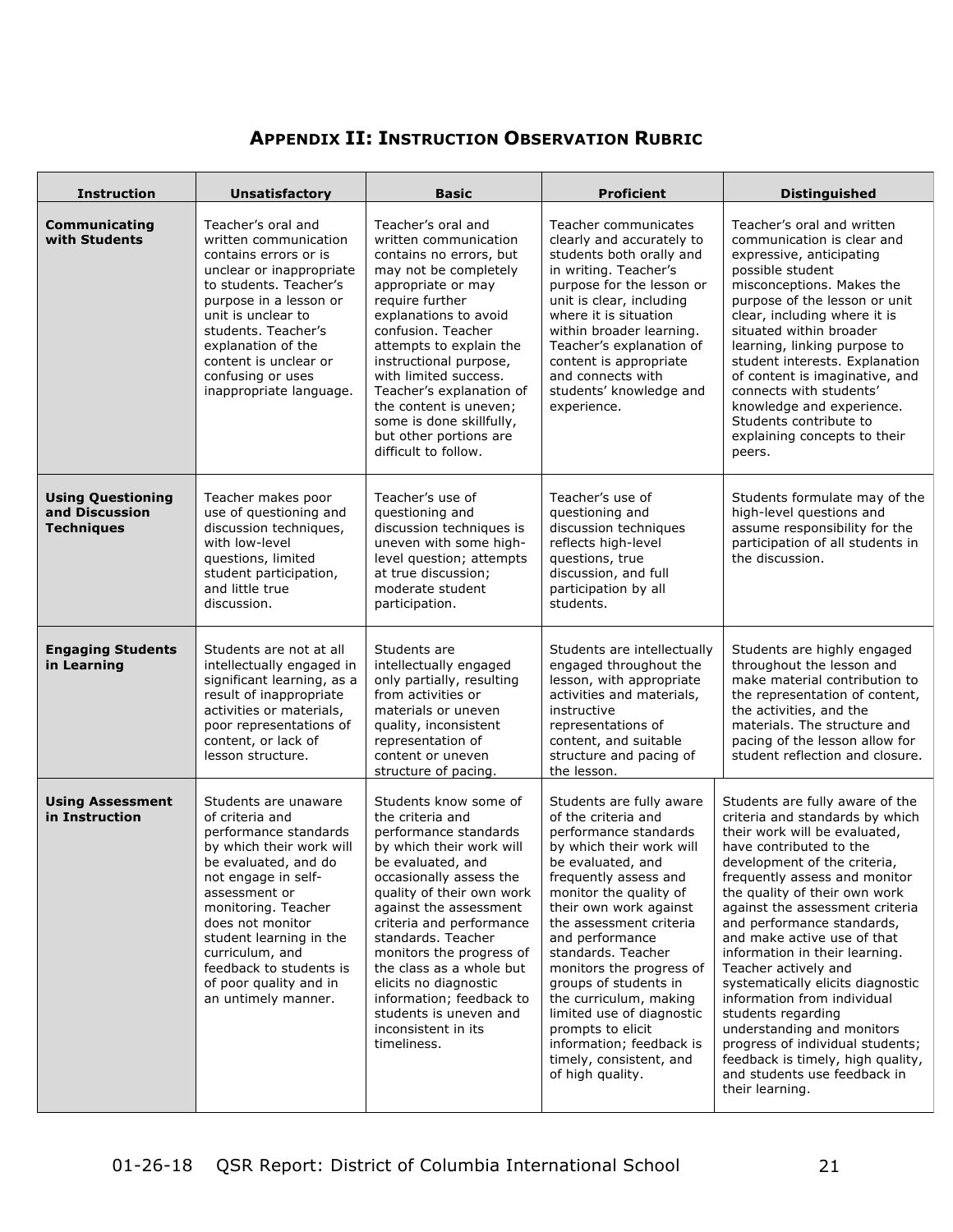## **APPENDIX II: INSTRUCTION OBSERVATION RUBRIC**

| <b>Instruction</b>                                              | <b>Unsatisfactory</b>                                                                                                                                                                                                                                                                                                             | <b>Basic</b>                                                                                                                                                                                                                                                                                                                                                                                                                         | <b>Proficient</b>                                                                                                                                                                                                                                                                                                                                                                                                                                                                      | <b>Distinguished</b>                                                                                                                                                                                                                                                                                                                                                                                                                                                                                                                                                                                                                           |  |
|-----------------------------------------------------------------|-----------------------------------------------------------------------------------------------------------------------------------------------------------------------------------------------------------------------------------------------------------------------------------------------------------------------------------|--------------------------------------------------------------------------------------------------------------------------------------------------------------------------------------------------------------------------------------------------------------------------------------------------------------------------------------------------------------------------------------------------------------------------------------|----------------------------------------------------------------------------------------------------------------------------------------------------------------------------------------------------------------------------------------------------------------------------------------------------------------------------------------------------------------------------------------------------------------------------------------------------------------------------------------|------------------------------------------------------------------------------------------------------------------------------------------------------------------------------------------------------------------------------------------------------------------------------------------------------------------------------------------------------------------------------------------------------------------------------------------------------------------------------------------------------------------------------------------------------------------------------------------------------------------------------------------------|--|
| Communicating<br>with Students                                  | Teacher's oral and<br>written communication<br>contains errors or is<br>unclear or inappropriate<br>to students. Teacher's<br>purpose in a lesson or<br>unit is unclear to<br>students. Teacher's<br>explanation of the<br>content is unclear or<br>confusing or uses<br>inappropriate language.                                  | Teacher's oral and<br>written communication<br>contains no errors, but<br>may not be completely<br>appropriate or may<br>require further<br>explanations to avoid<br>confusion. Teacher<br>attempts to explain the<br>instructional purpose,<br>with limited success.<br>Teacher's explanation of<br>the content is uneven;<br>some is done skillfully,<br>but other portions are<br>difficult to follow.                            | Teacher communicates<br>clearly and accurately to<br>students both orally and<br>in writing. Teacher's<br>purpose for the lesson or<br>unit is clear, including<br>where it is situation<br>within broader learning.<br>Teacher's explanation of<br>content is appropriate<br>and connects with<br>students' knowledge and<br>experience.                                                                                                                                              | Teacher's oral and written<br>communication is clear and<br>expressive, anticipating<br>possible student<br>misconceptions. Makes the<br>purpose of the lesson or unit<br>clear, including where it is<br>situated within broader<br>learning, linking purpose to<br>student interests. Explanation<br>of content is imaginative, and<br>connects with students'<br>knowledge and experience.<br>Students contribute to<br>explaining concepts to their<br>peers.                                                                                                                                                                              |  |
| <b>Using Questioning</b><br>and Discussion<br><b>Techniques</b> | Teacher makes poor<br>use of questioning and<br>discussion techniques,<br>with low-level<br>questions, limited<br>student participation,<br>and little true<br>discussion.                                                                                                                                                        | Teacher's use of<br>questioning and<br>discussion techniques is<br>uneven with some high-<br>level question; attempts<br>at true discussion;<br>moderate student<br>participation.                                                                                                                                                                                                                                                   | Teacher's use of<br>questioning and<br>discussion techniques<br>reflects high-level<br>questions, true<br>discussion, and full<br>participation by all<br>students.                                                                                                                                                                                                                                                                                                                    | Students formulate may of the<br>high-level questions and<br>assume responsibility for the<br>participation of all students in<br>the discussion.                                                                                                                                                                                                                                                                                                                                                                                                                                                                                              |  |
| <b>Engaging Students</b><br>in Learning                         | Students are not at all<br>intellectually engaged in<br>significant learning, as a<br>result of inappropriate<br>activities or materials,<br>poor representations of<br>content, or lack of<br>lesson structure.                                                                                                                  | Students are<br>intellectually engaged<br>only partially, resulting<br>from activities or<br>materials or uneven<br>quality, inconsistent<br>representation of<br>content or uneven<br>structure of pacing.                                                                                                                                                                                                                          | Students are intellectually<br>engaged throughout the<br>lesson, with appropriate<br>activities and materials,<br>instructive<br>representations of<br>content, and suitable<br>structure and pacing of<br>the lesson.                                                                                                                                                                                                                                                                 | Students are highly engaged<br>throughout the lesson and<br>make material contribution to<br>the representation of content,<br>the activities, and the<br>materials. The structure and<br>pacing of the lesson allow for<br>student reflection and closure.                                                                                                                                                                                                                                                                                                                                                                                    |  |
| <b>Using Assessment</b><br>in Instruction                       | Students are unaware<br>of criteria and<br>performance standards<br>by which their work will<br>be evaluated, and do<br>not engage in self-<br>assessment or<br>monitoring. Teacher<br>does not monitor<br>student learning in the<br>curriculum, and<br>feedback to students is<br>of poor quality and in<br>an untimely manner. | Students know some of<br>the criteria and<br>performance standards<br>by which their work will<br>be evaluated, and<br>occasionally assess the<br>quality of their own work<br>against the assessment<br>criteria and performance<br>standards. Teacher<br>monitors the progress of<br>the class as a whole but<br>elicits no diagnostic<br>information; feedback to<br>students is uneven and<br>inconsistent in its<br>timeliness. | Students are fully aware<br>of the criteria and<br>performance standards<br>by which their work will<br>be evaluated, and<br>frequently assess and<br>monitor the quality of<br>their own work against<br>the assessment criteria<br>and performance<br>standards. Teacher<br>monitors the progress of<br>groups of students in<br>the curriculum, making<br>limited use of diagnostic<br>prompts to elicit<br>information; feedback is<br>timely, consistent, and<br>of high quality. | Students are fully aware of the<br>criteria and standards by which<br>their work will be evaluated,<br>have contributed to the<br>development of the criteria,<br>frequently assess and monitor<br>the quality of their own work<br>against the assessment criteria<br>and performance standards,<br>and make active use of that<br>information in their learning.<br>Teacher actively and<br>systematically elicits diagnostic<br>information from individual<br>students regarding<br>understanding and monitors<br>progress of individual students;<br>feedback is timely, high quality,<br>and students use feedback in<br>their learning. |  |